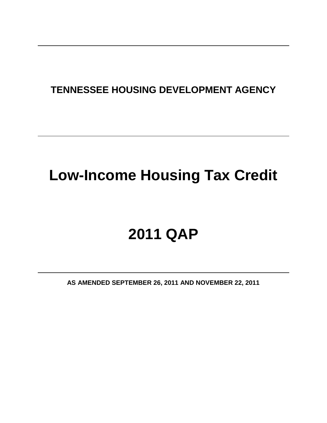# **TENNESSEE HOUSING DEVELOPMENT AGENCY**

# **Low-Income Housing Tax Credit**

# **2011 QAP**

**AS AMENDED SEPTEMBER 26, 2011 AND NOVEMBER 22, 2011**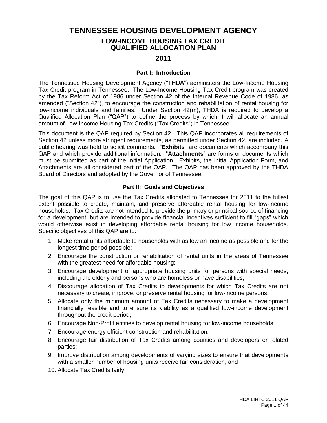**TENNESSEE HOUSING DEVELOPMENT AGENCY**

# **LOW-INCOME HOUSING TAX CREDIT QUALIFIED ALLOCATION PLAN**

# **2011**

# **Part I: Introduction**

The Tennessee Housing Development Agency ("THDA") administers the Low-Income Housing Tax Credit program in Tennessee. The Low-Income Housing Tax Credit program was created by the Tax Reform Act of 1986 under Section 42 of the Internal Revenue Code of 1986, as amended ("Section 42"), to encourage the construction and rehabilitation of rental housing for low-income individuals and families. Under Section 42(m), THDA is required to develop a Qualified Allocation Plan ("QAP") to define the process by which it will allocate an annual amount of Low-Income Housing Tax Credits ("Tax Credits") in Tennessee.

This document is the QAP required by Section 42. This QAP incorporates all requirements of Section 42 unless more stringent requirements, as permitted under Section 42, are included. A public hearing was held to solicit comments. "**Exhibits**" are documents which accompany this QAP and which provide additional information. "**Attachments**" are forms or documents which must be submitted as part of the Initial Application. Exhibits, the Initial Application Form, and Attachments are all considered part of the QAP. The QAP has been approved by the THDA Board of Directors and adopted by the Governor of Tennessee.

# **Part II: Goals and Objectives**

The goal of this QAP is to use the Tax Credits allocated to Tennessee for 2011 to the fullest extent possible to create, maintain, and preserve affordable rental housing for low-income households. Tax Credits are not intended to provide the primary or principal source of financing for a development, but are intended to provide financial incentives sufficient to fill "gaps" which would otherwise exist in developing affordable rental housing for low income households. Specific objectives of this QAP are to:

- 1. Make rental units affordable to households with as low an income as possible and for the longest time period possible;
- 2. Encourage the construction or rehabilitation of rental units in the areas of Tennessee with the greatest need for affordable housing;
- 3. Encourage development of appropriate housing units for persons with special needs, including the elderly and persons who are homeless or have disabilities;
- 4. Discourage allocation of Tax Credits to developments for which Tax Credits are not necessary to create, improve, or preserve rental housing for low-income persons;
- 5. Allocate only the minimum amount of Tax Credits necessary to make a development financially feasible and to ensure its viability as a qualified low-income development throughout the credit period;
- 6. Encourage Non-Profit entities to develop rental housing for low-income households;
- 7. Encourage energy efficient construction and rehabilitation;
- 8. Encourage fair distribution of Tax Credits among counties and developers or related parties;
- 9. Improve distribution among developments of varying sizes to ensure that developments with a smaller number of housing units receive fair consideration; and
- 10. Allocate Tax Credits fairly.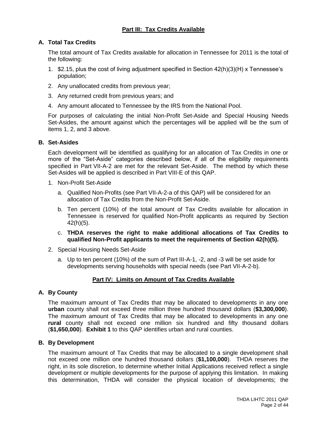# **Part III: Tax Credits Available**

# **A. Total Tax Credits**

The total amount of Tax Credits available for allocation in Tennessee for 2011 is the total of the following:

- 1. \$2.15, plus the cost of living adjustment specified in Section 42(h)(3)(H) x Tennessee's population;
- 2. Any unallocated credits from previous year;
- 3. Any returned credit from previous years; and
- 4. Any amount allocated to Tennessee by the IRS from the National Pool.

For purposes of calculating the initial Non-Profit Set-Aside and Special Housing Needs Set-Asides, the amount against which the percentages will be applied will be the sum of items 1, 2, and 3 above.

#### **B. Set-Asides**

Each development will be identified as qualifying for an allocation of Tax Credits in one or more of the "Set-Aside" categories described below, if all of the eligibility requirements specified in Part VII-A-2 are met for the relevant Set-Aside. The method by which these Set-Asides will be applied is described in Part VIII-E of this QAP.

- 1. Non-Profit Set-Aside
	- a. Qualified Non-Profits (see Part VII-A-2-a of this QAP) will be considered for an allocation of Tax Credits from the Non-Profit Set-Aside.
	- b. Ten percent (10%) of the total amount of Tax Credits available for allocation in Tennessee is reserved for qualified Non-Profit applicants as required by Section 42(h)(5).
	- c. **THDA reserves the right to make additional allocations of Tax Credits to qualified Non-Profit applicants to meet the requirements of Section 42(h)(5).**
- 2. Special Housing Needs Set-Aside
	- a. Up to ten percent (10%) of the sum of Part III-A-1, -2, and -3 will be set aside for developments serving households with special needs (see Part VII-A-2-b).

# **Part IV: Limits on Amount of Tax Credits Available**

# **A. By County**

The maximum amount of Tax Credits that may be allocated to developments in any one **urban** county shall not exceed three million three hundred thousand dollars (**\$3,300,000**). The maximum amount of Tax Credits that may be allocated to developments in any one **rural** county shall not exceed one million six hundred and fifty thousand dollars (**\$1,650,000**). **Exhibit 1** to this QAP identifies urban and rural counties.

#### **B. By Development**

The maximum amount of Tax Credits that may be allocated to a single development shall not exceed one million one hundred thousand dollars (**\$1,100,000**). THDA reserves the right, in its sole discretion, to determine whether Initial Applications received reflect a single development or multiple developments for the purpose of applying this limitation. In making this determination, THDA will consider the physical location of developments; the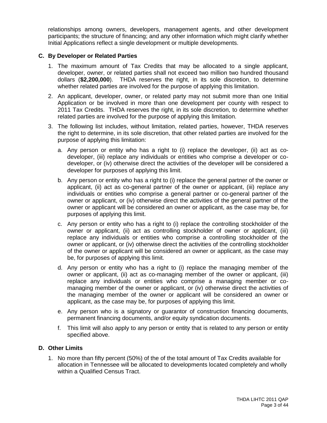relationships among owners, developers, management agents, and other development participants; the structure of financing; and any other information which might clarify whether Initial Applications reflect a single development or multiple developments.

#### **C. By Developer or Related Parties**

- 1. The maximum amount of Tax Credits that may be allocated to a single applicant, developer, owner, or related parties shall not exceed two million two hundred thousand dollars (**\$2,200,000**). THDA reserves the right, in its sole discretion, to determine whether related parties are involved for the purpose of applying this limitation.
- 2. An applicant, developer, owner, or related party may not submit more than one Initial Application or be involved in more than one development per county with respect to 2011 Tax Credits. THDA reserves the right, in its sole discretion, to determine whether related parties are involved for the purpose of applying this limitation.
- 3. The following list includes, without limitation, related parties, however, THDA reserves the right to determine, in its sole discretion, that other related parties are involved for the purpose of applying this limitation:
	- a. Any person or entity who has a right to (i) replace the developer, (ii) act as codeveloper, (iii) replace any individuals or entities who comprise a developer or codeveloper, or (iv) otherwise direct the activities of the developer will be considered a developer for purposes of applying this limit.
	- b. Any person or entity who has a right to (i) replace the general partner of the owner or applicant, (ii) act as co-general partner of the owner or applicant, (iii) replace any individuals or entities who comprise a general partner or co-general partner of the owner or applicant, or (iv) otherwise direct the activities of the general partner of the owner or applicant will be considered an owner or applicant, as the case may be, for purposes of applying this limit.
	- c. Any person or entity who has a right to (i) replace the controlling stockholder of the owner or applicant, (ii) act as controlling stockholder of owner or applicant, (iii) replace any individuals or entities who comprise a controlling stockholder of the owner or applicant, or (iv) otherwise direct the activities of the controlling stockholder of the owner or applicant will be considered an owner or applicant, as the case may be, for purposes of applying this limit.
	- d. Any person or entity who has a right to (i) replace the managing member of the owner or applicant, (ii) act as co-managing member of the owner or applicant, (iii) replace any individuals or entities who comprise a managing member or comanaging member of the owner or applicant, or (iv) otherwise direct the activities of the managing member of the owner or applicant will be considered an owner or applicant, as the case may be, for purposes of applying this limit.
	- e. Any person who is a signatory or guarantor of construction financing documents, permanent financing documents, and/or equity syndication documents.
	- f. This limit will also apply to any person or entity that is related to any person or entity specified above.

#### **D. Other Limits**

1. No more than fifty percent (50%) of the of the total amount of Tax Credits available for allocation in Tennessee will be allocated to developments located completely and wholly within a Qualified Census Tract.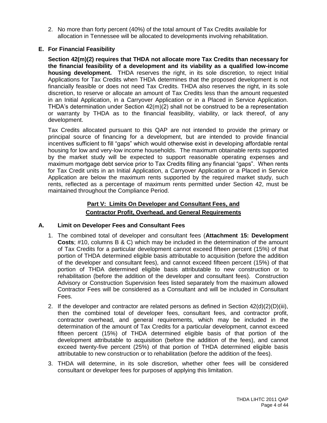2. No more than forty percent (40%) of the total amount of Tax Credits available for allocation in Tennessee will be allocated to developments involving rehabilitation.

# **E. For Financial Feasibility**

**Section 42(m)(2) requires that THDA not allocate more Tax Credits than necessary for the financial feasibility of a development and its viability as a qualified low-income housing development.** THDA reserves the right, in its sole discretion, to reject Initial Applications for Tax Credits when THDA determines that the proposed development is not financially feasible or does not need Tax Credits. THDA also reserves the right, in its sole discretion, to reserve or allocate an amount of Tax Credits less than the amount requested in an Initial Application, in a Carryover Application or in a Placed in Service Application. THDA's determination under Section 42(m)(2) shall not be construed to be a representation or warranty by THDA as to the financial feasibility, viability, or lack thereof, of any development.

Tax Credits allocated pursuant to this QAP are not intended to provide the primary or principal source of financing for a development, but are intended to provide financial incentives sufficient to fill "gaps" which would otherwise exist in developing affordable rental housing for low and very-low income households. The maximum obtainable rents supported by the market study will be expected to support reasonable operating expenses and maximum mortgage debt service prior to Tax Credits filling any financial "gaps". When rents for Tax Credit units in an Initial Application, a Carryover Application or a Placed in Service Application are below the maximum rents supported by the required market study, such rents, reflected as a percentage of maximum rents permitted under Section 42, must be maintained throughout the Compliance Period.

# **Part V: Limits On Developer and Consultant Fees, and Contractor Profit, Overhead, and General Requirements**

# **A. Limit on Developer Fees and Consultant Fees**

- 1. The combined total of developer and consultant fees (**Attachment 15: Development Costs**; #10, columns B & C) which may be included in the determination of the amount of Tax Credits for a particular development cannot exceed fifteen percent (15%) of that portion of THDA determined eligible basis attributable to acquisition (before the addition of the developer and consultant fees), and cannot exceed fifteen percent (15%) of that portion of THDA determined eligible basis attributable to new construction or to rehabilitation (before the addition of the developer and consultant fees). Construction Advisory or Construction Supervision fees listed separately from the maximum allowed Contractor Fees will be considered as a Consultant and will be included in Consultant Fees.
- 2. If the developer and contractor are related persons as defined in Section  $42(d)(2)(D)(iii)$ , then the combined total of developer fees, consultant fees, and contractor profit, contractor overhead, and general requirements, which may be included in the determination of the amount of Tax Credits for a particular development, cannot exceed fifteen percent (15%) of THDA determined eligible basis of that portion of the development attributable to acquisition (before the addition of the fees), and cannot exceed twenty-five percent (25%) of that portion of THDA determined eligible basis attributable to new construction or to rehabilitation (before the addition of the fees).
- 3. THDA will determine, in its sole discretion, whether other fees will be considered consultant or developer fees for purposes of applying this limitation.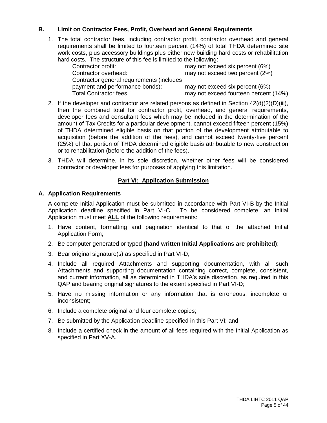# **B. Limit on Contractor Fees, Profit, Overhead and General Requirements**

1. The total contractor fees, including contractor profit, contractor overhead and general requirements shall be limited to fourteen percent (14%) of total THDA determined site work costs, plus accessory buildings plus either new building hard costs or rehabilitation hard costs. The structure of this fee is limited to the following:

| Contractor profit:                        | may not exceed six percent (6%)       |
|-------------------------------------------|---------------------------------------|
| Contractor overhead:                      | may not exceed two percent (2%)       |
| Contractor general requirements (includes |                                       |
| payment and performance bonds):           | may not exceed six percent (6%)       |
| <b>Total Contractor fees</b>              | may not exceed fourteen percent (14%) |

- 2. If the developer and contractor are related persons as defined in Section  $42(d)(2)(D)(iii)$ , then the combined total for contractor profit, overhead, and general requirements, developer fees and consultant fees which may be included in the determination of the amount of Tax Credits for a particular development, cannot exceed fifteen percent (15%) of THDA determined eligible basis on that portion of the development attributable to acquisition (before the addition of the fees), and cannot exceed twenty-five percent (25%) of that portion of THDA determined eligible basis attributable to new construction or to rehabilitation (before the addition of the fees).
- 3. THDA will determine, in its sole discretion, whether other fees will be considered contractor or developer fees for purposes of applying this limitation.

# **Part VI: Application Submission**

# **A. Application Requirements**

A complete Initial Application must be submitted in accordance with Part VI-B by the Initial Application deadline specified in Part VI-C. To be considered complete, an Initial Application must meet **ALL** of the following requirements:

- 1. Have content, formatting and pagination identical to that of the attached Initial Application Form;
- 2. Be computer generated or typed **(hand written Initial Applications are prohibited)**;
- 3. Bear original signature(s) as specified in Part VI-D;
- 4. Include all required Attachments and supporting documentation, with all such Attachments and supporting documentation containing correct, complete, consistent, and current information, all as determined in THDA's sole discretion, as required in this QAP and bearing original signatures to the extent specified in Part VI-D;
- 5. Have no missing information or any information that is erroneous, incomplete or inconsistent;
- 6. Include a complete original and four complete copies;
- 7. Be submitted by the Application deadline specified in this Part VI; and
- 8. Include a certified check in the amount of all fees required with the Initial Application as specified in Part XV-A.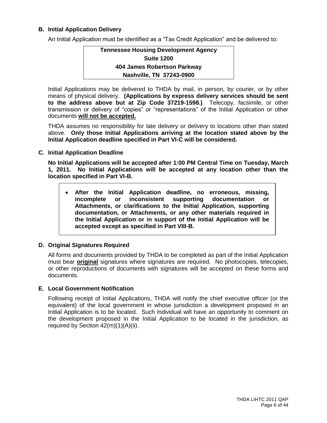# **B. Initial Application Delivery**

An Initial Application must be identified as a "Tax Credit Application" and be delivered to:

# **Tennessee Housing Development Agency Suite 1200 404 James Robertson Parkway Nashville, TN 37243-0900**

Initial Applications may be delivered to THDA by mail, in person, by courier, or by other means of physical delivery. **(Applications by express delivery services should be sent to the address above but at Zip Code 37219-1598.)** Telecopy, facsimile, or other transmission or delivery of "copies" or "representations" of the Initial Application or other documents **will not be accepted.**

THDA assumes no responsibility for late delivery or delivery to locations other than stated above. **Only those Initial Applications arriving at the location stated above by the Initial Application deadline specified in Part VI-C will be considered.**

**C. Initial Application Deadline**

**No Initial Applications will be accepted after 1:00 PM Central Time on Tuesday, March 1, 2011. No Initial Applications will be accepted at any location other than the location specified in Part VI-B.**

 **After the Initial Application deadline, no erroneous, missing, incomplete or inconsistent supporting documentation or Attachments, or clarifications to the Initial Application, supporting documentation, or Attachments, or any other materials required in the Initial Application or in support of the Initial Application will be accepted except as specified in Part VIII-B.**

#### **D. Original Signatures Required**

All forms and documents provided by THDA to be completed as part of the Initial Application must bear **original** signatures where signatures are required. No photocopies, telecopies, or other reproductions of documents with signatures will be accepted on these forms and documents.

#### **E. Local Government Notification**

Following receipt of Initial Applications, THDA will notify the chief executive officer (or the equivalent) of the local government in whose jurisdiction a development proposed in an Initial Application is to be located. Such individual will have an opportunity to comment on the development proposed in the Initial Application to be located in the jurisdiction, as required by Section 42(m)(1)(A)(ii).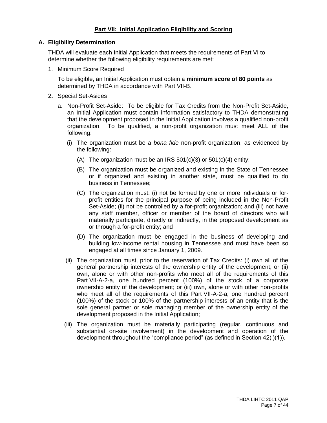# **Part VII: Initial Application Eligibility and Scoring**

#### **A. Eligibility Determination**

THDA will evaluate each Initial Application that meets the requirements of Part VI to determine whether the following eligibility requirements are met:

1. Minimum Score Required

To be eligible, an Initial Application must obtain a **minimum score of 80 points** as determined by THDA in accordance with Part VII-B.

- 2**.** Special Set-Asides
	- a. Non-Profit Set-Aside: To be eligible for Tax Credits from the Non-Profit Set-Aside, an Initial Application must contain information satisfactory to THDA demonstrating that the development proposed in the Initial Application involves a qualified non-profit organization. To be qualified, a non-profit organization must meet ALL of the following:
		- (i) The organization must be a *bona fide* non-profit organization, as evidenced by the following:
			- (A) The organization must be an IRS  $501(c)(3)$  or  $501(c)(4)$  entity;
			- (B) The organization must be organized and existing in the State of Tennessee or if organized and existing in another state, must be qualified to do business in Tennessee;
			- (C) The organization must: (i) not be formed by one or more individuals or forprofit entities for the principal purpose of being included in the Non-Profit Set-Aside; (ii) not be controlled by a for-profit organization; and (iii) not have any staff member, officer or member of the board of directors who will materially participate, directly or indirectly, in the proposed development as or through a for-profit entity; and
			- (D) The organization must be engaged in the business of developing and building low-income rental housing in Tennessee and must have been so engaged at all times since January 1, 2009.
		- (ii) The organization must, prior to the reservation of Tax Credits: (i) own all of the general partnership interests of the ownership entity of the development; or (ii) own, alone or with other non-profits who meet all of the requirements of this Part VII-A-2-a, one hundred percent (100%) of the stock of a corporate ownership entity of the development; or (iii) own, alone or with other non-profits who meet all of the requirements of this Part VII-A-2-a, one hundred percent (100%) of the stock or 100% of the partnership interests of an entity that is the sole general partner or sole managing member of the ownership entity of the development proposed in the Initial Application;
		- (iii) The organization must be materially participating (regular, continuous and substantial on-site involvement) in the development and operation of the development throughout the "compliance period" (as defined in Section 42(i)(1)).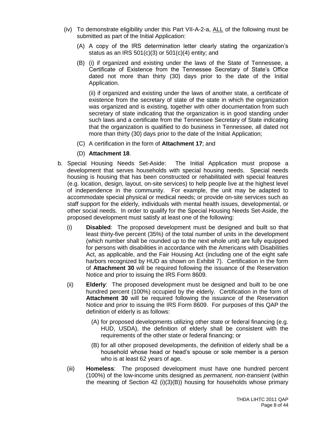- (iv) To demonstrate eligibility under this Part VII-A-2-a, ALL of the following must be submitted as part of the Initial Application:
	- (A) A copy of the IRS determination letter clearly stating the organization's status as an IRS  $501(c)(3)$  or  $501(c)(4)$  entity; and
	- (B) (i) if organized and existing under the laws of the State of Tennessee, a Certificate of Existence from the Tennessee Secretary of State's Office dated not more than thirty (30) days prior to the date of the Initial Application.

(ii) if organized and existing under the laws of another state, a certificate of existence from the secretary of state of the state in which the organization was organized and is existing, together with other documentation from such secretary of state indicating that the organization is in good standing under such laws and a certificate from the Tennessee Secretary of State indicating that the organization is qualified to do business in Tennessee, all dated not more than thirty (30) days prior to the date of the Initial Application;

- (C) A certification in the form of **Attachment 17**; and
- (D) **Attachment 18**.
- b. Special Housing Needs Set-Aside: The Initial Application must propose a development that serves households with special housing needs. Special needs housing is housing that has been constructed or rehabilitated with special features (e.g. location, design, layout, on-site services) to help people live at the highest level of independence in the community. For example, the unit may be adapted to accommodate special physical or medical needs; or provide on-site services such as staff support for the elderly, individuals with mental health issues, developmental, or other social needs. In order to qualify for the Special Housing Needs Set-Aside, the proposed development must satisfy at least one of the following:
	- (i) **Disabled**: The proposed development must be designed and built so that least thirty-five percent (35%) of the total number of units in the development (which number shall be rounded up to the next whole unit) are fully equipped for persons with disabilities in accordance with the Americans with Disabilities Act, as applicable, and the Fair Housing Act (including one of the eight safe harbors recognized by HUD as shown on Exhibit 7). Certification in the form of **Attachment 30** will be required following the issuance of the Reservation Notice and prior to issuing the IRS Form 8609.
	- (ii) **Elderly**: The proposed development must be designed and built to be one hundred percent (100%) occupied by the elderly. Certification in the form of **Attachment 30** will be required following the issuance of the Reservation Notice and prior to issuing the IRS Form 8609. For purposes of this QAP the definition of elderly is as follows:
		- (A) for proposed developments utilizing other state or federal financing (e.g. HUD, USDA), the definition of elderly shall be consistent with the requirements of the other state or federal financing; or
		- (B) for all other proposed developments, the definition of elderly shall be a household whose head or head's spouse or sole member is a person who is at least 62 years of age.
	- (iii) **Homeless**: The proposed development must have one hundred percent (100%) of the low-income units designed as *permanent, non-transient* (within the meaning of Section 42 (i)(3)(B)) housing for households whose primary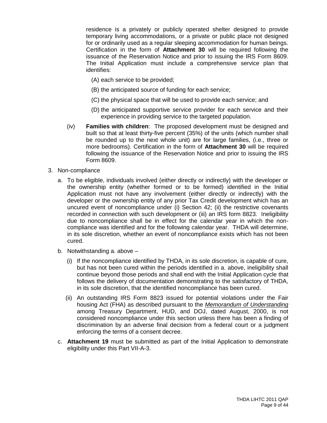residence is a privately or publicly operated shelter designed to provide temporary living accommodations, or a private or public place not designed for or ordinarily used as a regular sleeping accommodation for human beings. Certification in the form of **Attachment 30** will be required following the issuance of the Reservation Notice and prior to issuing the IRS Form 8609. The Initial Application must include a comprehensive service plan that identifies:

- (A) each service to be provided;
- (B) the anticipated source of funding for each service;
- (C) the physical space that will be used to provide each service; and
- (D) the anticipated supportive service provider for each service and their experience in providing service to the targeted population.
- (iv) **Families with children**: The proposed development must be designed and built so that at least thirty-five percent (35%) of the units (which number shall be rounded up to the next whole unit) are for large families, (i.e., three or more bedrooms). Certification in the form of **Attachment 30** will be required following the issuance of the Reservation Notice and prior to issuing the IRS Form 8609.
- 3. Non-compliance
	- a. To be eligible, individuals involved (either directly or indirectly) with the developer or the ownership entity (whether formed or to be formed) identified in the Initial Application must not have any involvement (either directly or indirectly) with the developer or the ownership entity of any prior Tax Credit development which has an uncured event of noncompliance under (i) Section 42; (ii) the restrictive covenants recorded in connection with such development or (iii) an IRS form 8823. Ineligibility due to noncompliance shall be in effect for the calendar year in which the noncompliance was identified and for the following calendar year. THDA will determine, in its sole discretion, whether an event of noncompliance exists which has not been cured.
	- b. Notwithstanding a. above
		- (i) If the noncompliance identified by THDA, in its sole discretion, is capable of cure, but has not been cured within the periods identified in a. above, ineligibility shall continue beyond those periods and shall end with the Initial Application cycle that follows the delivery of documentation demonstrating to the satisfactory of THDA, in its sole discretion, that the identified noncompliance has been cured.
		- (ii) An outstanding IRS Form 8823 issued for potential violations under the Fair housing Act (FHA) as described pursuant to the *Memorandum of Understanding* among Treasury Department, HUD, and DOJ, dated August, 2000, is not considered noncompliance under this section unless there has been a finding of discrimination by an adverse final decision from a federal court or a judgment enforcing the terms of a consent decree.
	- c. **Attachment 19** must be submitted as part of the Initial Application to demonstrate eligibility under this Part VII-A-3.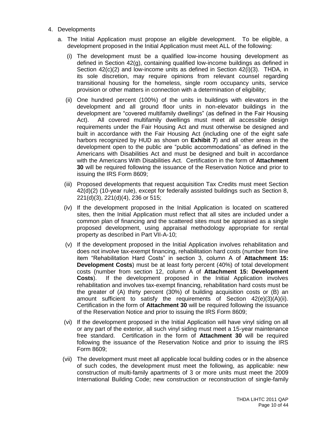- 4. Developments
	- a. The Initial Application must propose an eligible development. To be eligible, a development proposed in the Initial Application must meet ALL of the following:
		- (i) The development must be a qualified low-income housing development as defined in Section 42(g), containing qualified low-income buildings as defined in Section  $42(c)(2)$  and low-income units as defined in Section  $42(i)(3)$ . THDA, in its sole discretion, may require opinions from relevant counsel regarding transitional housing for the homeless, single room occupancy units, service provision or other matters in connection with a determination of eligibility;
		- (ii) One hundred percent (100%) of the units in buildings with elevators in the development and all ground floor units in non-elevator buildings in the development are "covered multifamily dwellings" (as defined in the Fair Housing Act). All covered multifamily dwellings must meet all accessible design requirements under the Fair Housing Act and must otherwise be designed and built in accordance with the Fair Housing Act (including one of the eight safe harbors recognized by HUD as shown on **Exhibit 7**) and all other areas in the development open to the public are "public accommodations" as defined in the Americans with Disabilities Act and must be designed and built in accordance with the Americans With Disabilities Act. Certification in the form of **Attachment 30** will be required following the issuance of the Reservation Notice and prior to issuing the IRS Form 8609;
		- (iii) Proposed developments that request acquisition Tax Credits must meet Section 42(d)(2) (10-year rule), except for federally assisted buildings such as Section 8, 221(d)(3), 221(d)(4), 236 or 515;
		- (iv) If the development proposed in the Initial Application is located on scattered sites, then the Initial Application must reflect that all sites are included under a common plan of financing and the scattered sites must be appraised as a single proposed development, using appraisal methodology appropriate for rental property as described in Part VII-A-10;
		- (v) If the development proposed in the Initial Application involves rehabilitation and does not involve tax-exempt financing, rehabilitation hard costs (number from line item "Rehabilitation Hard Costs" in section 3, column A of **Attachment 15: Development Costs**) must be at least forty percent (40%) of total development costs (number from section 12, column A of **Attachment 15: Development Costs**). If the development proposed in the Initial Application involves rehabilitation and involves tax-exempt financing, rehabilitation hard costs must be the greater of (A) thirty percent (30%) of building acquisition costs or (B) an amount sufficient to satisfy the requirements of Section 42(e)(3)(A)(ii). Certification in the form of **Attachment 30** will be required following the issuance of the Reservation Notice and prior to issuing the IRS Form 8609;
		- (vi) If the development proposed in the Initial Application will have vinyl siding on all or any part of the exterior, all such vinyl siding must meet a 15-year maintenance free standard. Certification in the form of **Attachment 30** will be required following the issuance of the Reservation Notice and prior to issuing the IRS Form 8609;
		- (vii) The development must meet all applicable local building codes or in the absence of such codes, the development must meet the following, as applicable: new construction of multi-family apartments of 3 or more units must meet the 2009 International Building Code; new construction or reconstruction of single-family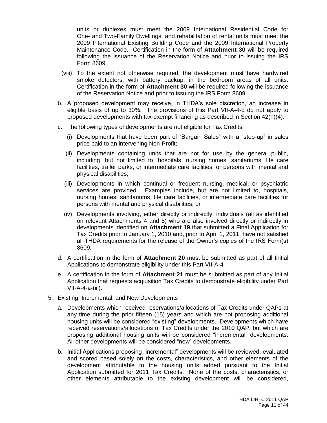units or duplexes must meet the 2009 International Residential Code for One- and Two-Family Dwellings; and rehabilitation of rental units must meet the 2009 International Existing Building Code and the 2009 International Property Maintenance Code. Certification in the form of **Attachment 30** will be required following the issuance of the Reservation Notice and prior to issuing the IRS Form 8609.

- (viii) To the extent not otherwise required, the development must have hardwired smoke detectors, with battery backup, in the bedroom areas of all units. Certification in the form of **Attachment 30** will be required following the issuance of the Reservation Notice and prior to issuing the IRS Form 8609.
- b. A proposed development may receive, in THDA's sole discretion, an increase in eligible basis of up to 30%. The provisions of this Part VII-A-4-b do not apply to proposed developments with tax-exempt financing as described in Section 42(h)(4).
- c. The following types of developments are not eligible for Tax Credits:
	- (i) Developments that have been part of "Bargain Sales" with a "step-up" in sales price paid to an intervening Non-Profit;
	- (ii) Developments containing units that are not for use by the general public, including, but not limited to, hospitals, nursing homes, sanitariums, life care facilities, trailer parks, or intermediate care facilities for persons with mental and physical disabilities;
	- (iii) Developments in which continual or frequent nursing, medical, or psychiatric services are provided. Examples include, but are not limited to, hospitals, nursing homes, sanitariums, life care facilities, or intermediate care facilities for persons with mental and physical disabilities; or
	- (iv) Developments involving, either directly or indirectly, individuals (all as identified on relevant Attachments 4 and 5) who are also involved directly or indirectly in developments identified on **Attachment 19** that submitted a Final Application for Tax Credits prior to January 1, 2010 and, prior to April 1, 2011, have not satisfied all THDA requirements for the release of the Owner's copies of the IRS Form(s) 8609.
- d. A certification in the form of **Attachment 20** must be submitted as part of all Initial Applications to demonstrate eligibility under this Part VII-A-4.
- e. A certification in the form of **Attachment 21** must be submitted as part of any Initial Application that requests acquisition Tax Credits to demonstrate eligibility under Part VII-A-4-a-(iii).
- 5. Existing, Incremental, and New Developments
	- a. Developments which received reservations/allocations of Tax Credits under QAPs at any time during the prior fifteen (15) years and which are not proposing additional housing units will be considered "existing" developments. Developments which have received reservations/allocations of Tax Credits under the 2010 QAP, but which are proposing additional housing units will be considered "incremental" developments. All other developments will be considered "new" developments.
	- b. Initial Applications proposing "incremental" developments will be reviewed, evaluated and scored based solely on the costs, characteristics, and other elements of the development attributable to the housing units added pursuant to the Initial Application submitted for 2011 Tax Credits. None of the costs, characteristics, or other elements attributable to the existing development will be considered,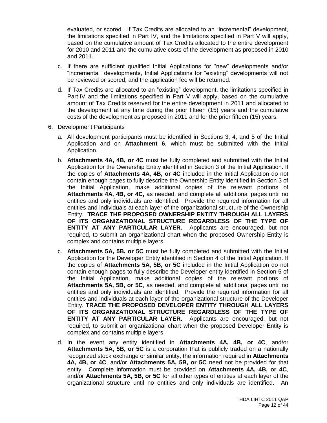evaluated, or scored. If Tax Credits are allocated to an "incremental" development, the limitations specified in Part IV, and the limitations specified in Part V will apply, based on the cumulative amount of Tax Credits allocated to the entire development for 2010 and 2011 and the cumulative costs of the development as proposed in 2010 and 2011.

- c. If there are sufficient qualified Initial Applications for "new" developments and/or "incremental" developments, Initial Applications for "existing" developments will not be reviewed or scored, and the application fee will be returned.
- d. If Tax Credits are allocated to an "existing" development, the limitations specified in Part IV and the limitations specified in Part V will apply, based on the cumulative amount of Tax Credits reserved for the entire development in 2011 and allocated to the development at any time during the prior fifteen (15) years and the cumulative costs of the development as proposed in 2011 and for the prior fifteen (15) years.
- 6. Development Participants
	- a. All development participants must be identified in Sections 3, 4, and 5 of the Initial Application and on **Attachment 6**, which must be submitted with the Initial Application.
	- b. **Attachments 4A, 4B, or 4C** must be fully completed and submitted with the Initial Application for the Ownership Entity identified in Section 3 of the Initial Application. If the copies of **Attachments 4A, 4B, or 4C** included in the Initial Application do not contain enough pages to fully describe the Ownership Entity identified in Section 3 of the Initial Application, make additional copies of the relevant portions of **Attachments 4A, 4B, or 4C,** as needed, and complete all additional pages until no entities and only individuals are identified. Provide the required information for all entities and individuals at each layer of the organizational structure of the Ownership Entity. **TRACE THE PROPOSED OWNERSHIP ENTITY THROUGH ALL LAYERS OF ITS ORGANIZATIONAL STRUCTURE REGARDLESS OF THE TYPE OF ENTITY AT ANY PARTICULAR LAYER.** Applicants are encouraged, but not required, to submit an organizational chart when the proposed Ownership Entity is complex and contains multiple layers.
	- c. **Attachments 5A, 5B, or 5C** must be fully completed and submitted with the Initial Application for the Developer Entity identified in Section 4 of the Initial Application. If the copies of **Attachments 5A, 5B, or 5C** included in the Initial Application do not contain enough pages to fully describe the Developer entity identified in Section 5 of the Initial Application, make additional copies of the relevant portions of **Attachments 5A, 5B, or 5C**, as needed, and complete all additional pages until no entities and only individuals are identified. Provide the required information for all entities and individuals at each layer of the organizational structure of the Developer Entity. **TRACE THE PROPOSED DEVELOPER ENTITY THROUGH ALL LAYERS OF ITS ORGANIZATIONAL STRUCTURE REGARDLESS OF THE TYPE OF ENTITY AT ANY PARTICULAR LAYER.** Applicants are encouraged, but not required, to submit an organizational chart when the proposed Developer Entity is complex and contains multiple layers.
	- d. In the event any entity identified in **Attachments 4A, 4B, or 4C**, and/or **Attachments 5A, 5B, or 5C** is a corporation that is publicly traded on a nationally recognized stock exchange or similar entity, the information required in **Attachments 4A, 4B, or 4C**, and/or **Attachments 5A, 5B, or 5C** need not be provided for that entity. Complete information must be provided on **Attachments 4A, 4B, or 4C**, and/or **Attachments 5A, 5B, or 5C** for all other types of entities at each layer of the organizational structure until no entities and only individuals are identified. An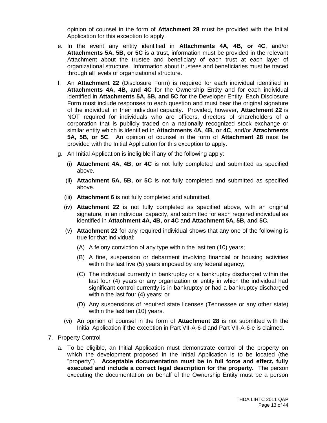opinion of counsel in the form of **Attachment 28** must be provided with the Initial Application for this exception to apply.

- e. In the event any entity identified in **Attachments 4A, 4B, or 4C**, and/or **Attachments 5A, 5B, or 5C** is a trust, information must be provided in the relevant Attachment about the trustee and beneficiary of each trust at each layer of organizational structure. Information about trustees and beneficiaries must be traced through all levels of organizational structure.
- f. An **Attachment 22** (Disclosure Form) is required for each individual identified in **Attachments 4A, 4B, and 4C** for the Ownership Entity and for each individual identified in **Attachments 5A, 5B, and 5C** for the Developer Entity. Each Disclosure Form must include responses to each question and must bear the original signature of the individual, in their individual capacity. Provided, however, **Attachment 22** is NOT required for individuals who are officers, directors of shareholders of a corporation that is publicly traded on a nationally recognized stock exchange or similar entity which is identified in **Attachments 4A, 4B, or 4C**, and/or **Attachments 5A, 5B, or 5C**. An opinion of counsel in the form of **Attachment 28** must be provided with the Initial Application for this exception to apply.
- g. An Initial Application is ineligible if any of the following apply:
	- (i) **Attachment 4A, 4B, or 4C** is not fully completed and submitted as specified above.
	- (ii) **Attachment 5A, 5B, or 5C** is not fully completed and submitted as specified above.
	- (iii) **Attachment 6** is not fully completed and submitted.
	- (iv) **Attachment 22** is not fully completed as specified above, with an original signature, in an individual capacity, and submitted for each required individual as identified in **Attachment 4A, 4B, or 4C** and **Attachment 5A, 5B, and 5C.**
	- (v) **Attachment 22** for any required individual shows that any one of the following is true for that individual:
		- (A) A felony conviction of any type within the last ten (10) years;
		- (B) A fine, suspension or debarment involving financial or housing activities within the last five (5) years imposed by any federal agency;
		- (C) The individual currently in bankruptcy or a bankruptcy discharged within the last four (4) years or any organization or entity in which the individual had significant control currently is in bankruptcy or had a bankruptcy discharged within the last four (4) years; or
		- (D) Any suspensions of required state licenses (Tennessee or any other state) within the last ten (10) years.
	- (vi) An opinion of counsel in the form of **Attachment 28** is not submitted with the Initial Application if the exception in Part VII-A-6-d and Part VII-A-6-e is claimed.
- 7. Property Control
	- a. To be eligible, an Initial Application must demonstrate control of the property on which the development proposed in the Initial Application is to be located (the "property"). **Acceptable documentation must be in full force and effect, fully executed and include a correct legal description for the property.** The person executing the documentation on behalf of the Ownership Entity must be a person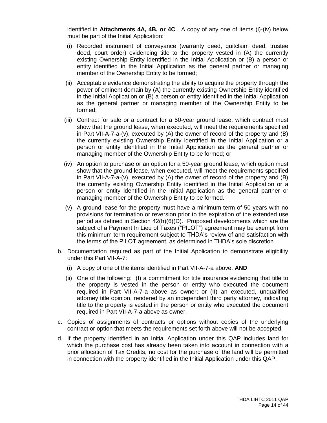identified in **Attachments 4A, 4B, or 4C**. A copy of any one of items (i)-(iv) below must be part of the Initial Application:

- (i) Recorded instrument of conveyance (warranty deed, quitclaim deed, trustee deed, court order) evidencing title to the property vested in (A) the currently existing Ownership Entity identified in the Initial Application or (B) a person or entity identified in the Initial Application as the general partner or managing member of the Ownership Entity to be formed;
- (ii) Acceptable evidence demonstrating the ability to acquire the property through the power of eminent domain by (A) the currently existing Ownership Entity identified in the Initial Application or (B) a person or entity identified in the Initial Application as the general partner or managing member of the Ownership Entity to be formed;
- (iii) Contract for sale or a contract for a 50-year ground lease, which contract must show that the ground lease, when executed, will meet the requirements specified in Part VII-A-7-a-(v), executed by (A) the owner of record of the property and (B) the currently existing Ownership Entity identified in the Initial Application or a person or entity identified in the Initial Application as the general partner or managing member of the Ownership Entity to be formed; or
- (iv) An option to purchase or an option for a 50-year ground lease, which option must show that the ground lease, when executed, will meet the requirements specified in Part VII-A-7-a-(v), executed by (A) the owner of record of the property and (B) the currently existing Ownership Entity identified in the Initial Application or a person or entity identified in the Initial Application as the general partner or managing member of the Ownership Entity to be formed.
- (v) A ground lease for the property must have a minimum term of 50 years with no provisions for termination or reversion prior to the expiration of the extended use period as defined in Section 42(h)(6)(D). Proposed developments which are the subject of a Payment In Lieu of Taxes ("PILOT") agreement may be exempt from this minimum term requirement subject to THDA's review of and satisfaction with the terms of the PILOT agreement, as determined in THDA's sole discretion.
- b. Documentation required as part of the Initial Application to demonstrate eligibility under this Part VII-A-7:
	- (i) A copy of one of the items identified in Part VII-A-7-a above, **AND**
	- (ii) One of the following: (I) a commitment for title insurance evidencing that title to the property is vested in the person or entity who executed the document required in Part VII-A-7-a above as owner; or (II) an executed, unqualified attorney title opinion, rendered by an independent third party attorney, indicating title to the property is vested in the person or entity who executed the document required in Part VII-A-7-a above as owner.
- c. Copies of assignments of contracts or options without copies of the underlying contract or option that meets the requirements set forth above will not be accepted.
- d. If the property identified in an Initial Application under this QAP includes land for which the purchase cost has already been taken into account in connection with a prior allocation of Tax Credits, no cost for the purchase of the land will be permitted in connection with the property identified in the Initial Application under this QAP.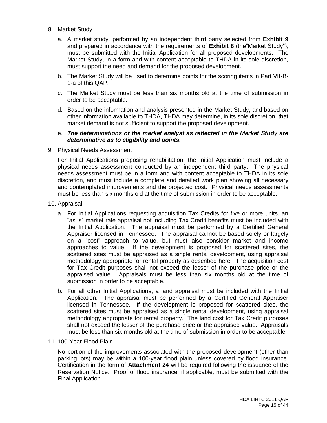- 8. Market Study
	- a. A market study, performed by an independent third party selected from **Exhibit 9** and prepared in accordance with the requirements of **Exhibit 8** (the"Market Study"), must be submitted with the Initial Application for all proposed developments. The Market Study, in a form and with content acceptable to THDA in its sole discretion, must support the need and demand for the proposed development.
	- b. The Market Study will be used to determine points for the scoring items in Part VII-B-1-a of this QAP.
	- c. The Market Study must be less than six months old at the time of submission in order to be acceptable.
	- d. Based on the information and analysis presented in the Market Study, and based on other information available to THDA, THDA may determine, in its sole discretion, that market demand is not sufficient to support the proposed development.
	- e. *The determinations of the market analyst as reflected in the Market Study are determinative as to eligibility and points.*
- 9. Physical Needs Assessment

For Initial Applications proposing rehabilitation, the Initial Application must include a physical needs assessment conducted by an independent third party. The physical needs assessment must be in a form and with content acceptable to THDA in its sole discretion, and must include a complete and detailed work plan showing all necessary and contemplated improvements and the projected cost. Physical needs assessments must be less than six months old at the time of submission in order to be acceptable.

- 10. Appraisal
	- a. For Initial Applications requesting acquisition Tax Credits for five or more units, an "as is" market rate appraisal not including Tax Credit benefits must be included with the Initial Application. The appraisal must be performed by a Certified General Appraiser licensed in Tennessee. The appraisal cannot be based solely or largely on a "cost" approach to value, but must also consider market and income approaches to value. If the development is proposed for scattered sites, the scattered sites must be appraised as a single rental development, using appraisal methodology appropriate for rental property as described here. The acquisition cost for Tax Credit purposes shall not exceed the lesser of the purchase price or the appraised value. Appraisals must be less than six months old at the time of submission in order to be acceptable.
	- b. For all other Initial Applications, a land appraisal must be included with the Initial Application. The appraisal must be performed by a Certified General Appraiser licensed in Tennessee. If the development is proposed for scattered sites, the scattered sites must be appraised as a single rental development, using appraisal methodology appropriate for rental property. The land cost for Tax Credit purposes shall not exceed the lesser of the purchase price or the appraised value. Appraisals must be less than six months old at the time of submission in order to be acceptable.

#### 11. 100-Year Flood Plain

No portion of the improvements associated with the proposed development (other than parking lots) may be within a 100-year flood plain unless covered by flood insurance. Certification in the form of **Attachment 24** will be required following the issuance of the Reservation Notice. Proof of flood insurance, if applicable, must be submitted with the Final Application.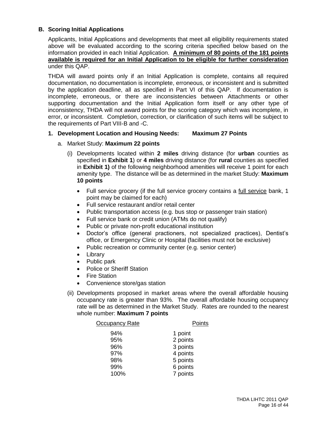# **B. Scoring Initial Applications**

Applicants, Initial Applications and developments that meet all eligibility requirements stated above will be evaluated according to the scoring criteria specified below based on the information provided in each Initial Application. **A minimum of 80 points of the 181 points available is required for an Initial Application to be eligible for further consideration** under this QAP.

THDA will award points only if an Initial Application is complete, contains all required documentation, no documentation is incomplete, erroneous, or inconsistent and is submitted by the application deadline, all as specified in Part VI of this QAP. If documentation is incomplete, erroneous, or there are inconsistencies between Attachments or other supporting documentation and the Initial Application form itself or any other type of inconsistency, THDA will not award points for the scoring category which was incomplete, in error, or inconsistent. Completion, correction, or clarification of such items will be subject to the requirements of Part VIII-B and -C.

#### **1. Development Location and Housing Needs: Maximum 27 Points**

- a. Market Study: **Maximum 22 points**
	- (i) Developments located within **2 miles** driving distance (for **urban** counties as specified in **Exhibit 1**) or **4 miles** driving distance (for **rural** counties as specified in **Exhibit 1)** of the following neighborhood amenities will receive 1 point for each amenity type. The distance will be as determined in the market Study: **Maximum 10 points**
		- Full service grocery (if the full service grocery contains a full service bank, 1 point may be claimed for each)
		- Full service restaurant and/or retail center
		- Public transportation access (e.g. bus stop or passenger train station)
		- Full service bank or credit union (ATMs do not qualify)
		- Public or private non-profit educational institution
		- Doctor's office (general practioners, not specialized practices), Dentist's office, or Emergency Clinic or Hospital (facilities must not be exclusive)
		- Public recreation or community center (e.g. senior center)
		- Library
		- Public park
		- Police or Sheriff Station
		- Fire Station
		- Convenience store/gas station
	- (ii) Developments proposed in market areas where the overall affordable housing occupancy rate is greater than 93%. The overall affordable housing occupancy rate will be as determined in the Market Study. Rates are rounded to the nearest whole number: **Maximum 7 points**

| Occupancy Rate | Points   |
|----------------|----------|
| 94%            | 1 point  |
| 95%            | 2 points |
| 96%            | 3 points |
| 97%            | 4 points |
| 98%            | 5 points |
| 99%            | 6 points |
| 100%           | 7 points |
|                |          |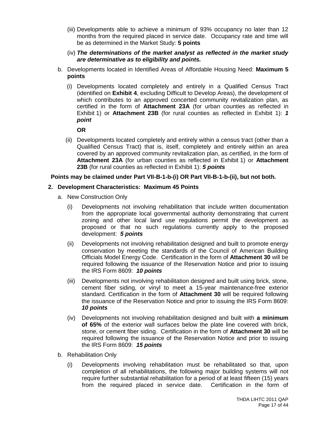- (iii) Developments able to achieve a minimum of 93% occupancy no later than 12 months from the required placed in service date. Occupancy rate and time will be as determined in the Market Study: **5 points**
- (iv) *The determinations of the market analyst as reflected in the market study are determinative as to eligibility and points.*
- b. Developments located in Identified Areas of Affordable Housing Need: **Maximum 5 points**
	- (i) Developments located completely and entirely in a Qualified Census Tract (identified on **Exhibit 4**, excluding Difficult to Develop Areas), the development of which contributes to an approved concerted community revitalization plan, as certified in the form of **Attachment 23A** (for urban counties as reflected in Exhibit 1) or **Attachment 23B** (for rural counties as reflected in Exhibit 1): *1 point*

**OR**

(ii) Developments located completely and entirely within a census tract (other than a Qualified Census Tract) that is, itself, completely and entirely within an area covered by an approved community revitalization plan, as certified, in the form of **Attachment 23A** (for urban counties as reflected in Exhibit 1) or **Attachment 23B** (for rural counties as reflected in Exhibit 1): *5 points*

#### **Points may be claimed under Part VII-B-1-b-(i) OR Part VII-B-1-b-(ii), but not both.**

#### **2. Development Characteristics: Maximum 45 Points**

- a. New Construction Only
	- (i) Developments not involving rehabilitation that include written documentation from the appropriate local governmental authority demonstrating that current zoning and other local land use regulations permit the development as proposed or that no such regulations currently apply to the proposed development: *5 points*
	- (ii) Developments not involving rehabilitation designed and built to promote energy conservation by meeting the standards of the Council of American Building Officials Model Energy Code. Certification in the form of **Attachment 30** will be required following the issuance of the Reservation Notice and prior to issuing the IRS Form 8609: *10 points*
	- (iii) Developments not involving rehabilitation designed and built using brick, stone, cement fiber siding, or vinyl to meet a 15-year maintenance-free exterior standard. Certification in the form of **Attachment 30** will be required following the issuance of the Reservation Notice and prior to issuing the IRS Form 8609: *10 points*
	- (iv) Developments not involving rehabilitation designed and built with **a minimum of 65%** of the exterior wall surfaces below the plate line covered with brick, stone, or cement fiber siding. Certification in the form of **Attachment 30** will be required following the issuance of the Reservation Notice and prior to issuing the IRS Form 8609: *15 points*
- b. Rehabilitation Only
	- (i) Developments involving rehabilitation must be rehabilitated so that, upon completion of all rehabilitations, the following major building systems will not require further substantial rehabilitation for a period of at least fifteen (15) years from the required placed in service date. Certification in the form of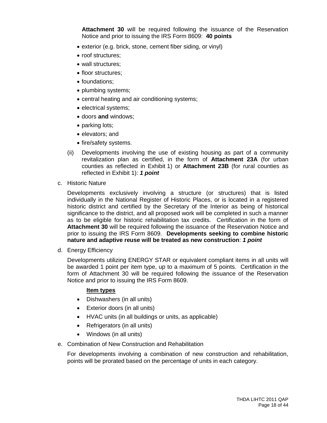**Attachment 30** will be required following the issuance of the Reservation Notice and prior to issuing the IRS Form 8609: **40 points**

- exterior (e.g. brick, stone, cement fiber siding, or vinyl)
- roof structures:
- wall structures:
- floor structures;
- foundations:
- plumbing systems;
- central heating and air conditioning systems;
- electrical systems;
- doors **and** windows;
- parking lots;
- elevators; and
- fire/safety systems.
- (ii) Developments involving the use of existing housing as part of a community revitalization plan as certified, in the form of **Attachment 23A** (for urban counties as reflected in Exhibit 1) or **Attachment 23B** (for rural counties as reflected in Exhibit 1): *1 point*
- c. Historic Nature

Developments exclusively involving a structure (or structures) that is listed individually in the National Register of Historic Places, or is located in a registered historic district and certified by the Secretary of the Interior as being of historical significance to the district, and all proposed work will be completed in such a manner as to be eligible for historic rehabilitation tax credits. Certification in the form of **Attachment 30** will be required following the issuance of the Reservation Notice and prior to issuing the IRS Form 8609. **Developments seeking to combine historic nature and adaptive reuse will be treated as new construction**: *1 point*

d. Energy Efficiency

Developments utilizing ENERGY STAR or equivalent compliant items in all units will be awarded 1 point per item type, up to a maximum of 5 points. Certification in the form of Attachment 30 will be required following the issuance of the Reservation Notice and prior to issuing the IRS Form 8609.

#### **Item types**

- Dishwashers (in all units)
- Exterior doors (in all units)
- HVAC units (in all buildings or units, as applicable)
- Refrigerators (in all units)
- Windows (in all units)
- e. Combination of New Construction and Rehabilitation

For developments involving a combination of new construction and rehabilitation, points will be prorated based on the percentage of units in each category.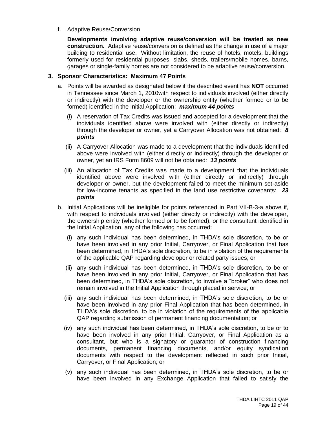f. Adaptive Reuse/Conversion

**Developments involving adaptive reuse/conversion will be treated as new construction.** Adaptive reuse/conversion is defined as the change in use of a major building to residential use. Without limitation, the reuse of hotels, motels, buildings formerly used for residential purposes, slabs, sheds, trailers/mobile homes, barns, garages or single-family homes are not considered to be adaptive reuse/conversion.

#### **3. Sponsor Characteristics: Maximum 47 Points**

- a. Points will be awarded as designated below if the described event has **NOT** occurred in Tennessee since March 1, 2010with respect to individuals involved (either directly or indirectly) with the developer or the ownership entity (whether formed or to be formed) identified in the Initial Application: *maximum 44 points*
	- (i) A reservation of Tax Credits was issued and accepted for a development that the individuals identified above were involved with (either directly or indirectly) through the developer or owner, yet a Carryover Allocation was not obtained: *8 points*
	- (ii) A Carryover Allocation was made to a development that the individuals identified above were involved with (either directly or indirectly) through the developer or owner, yet an IRS Form 8609 will not be obtained: *13 points*
	- (iii) An allocation of Tax Credits was made to a development that the individuals identified above were involved with (either directly or indirectly) through developer or owner, but the development failed to meet the minimum set-aside for low-income tenants as specified in the land use restrictive covenants: *23 points*
- b. Initial Applications will be ineligible for points referenced in Part VII-B-3-a above if, with respect to individuals involved (either directly or indirectly) with the developer, the ownership entity (whether formed or to be formed), or the consultant identified in the Initial Application, any of the following has occurred:
	- (i) any such individual has been determined, in THDA's sole discretion, to be or have been involved in any prior Initial, Carryover, or Final Application that has been determined, in THDA's sole discretion, to be in violation of the requirements of the applicable QAP regarding developer or related party issues; or
	- (ii) any such individual has been determined, in THDA's sole discretion, to be or have been involved in any prior Initial, Carryover, or Final Application that has been determined, in THDA's sole discretion, to involve a "broker" who does not remain involved in the Initial Application through placed in service; or
	- (iii) any such individual has been determined, in THDA's sole discretion, to be or have been involved in any prior Final Application that has been determined, in THDA's sole discretion, to be in violation of the requirements of the applicable QAP regarding submission of permanent financing documentation; or
	- (iv) any such individual has been determined, in THDA's sole discretion, to be or to have been involved in any prior Initial, Carryover, or Final Application as a consultant, but who is a signatory or guarantor of construction financing documents, permanent financing documents, and/or equity syndication documents with respect to the development reflected in such prior Initial, Carryover, or Final Application; or
	- (v) any such individual has been determined, in THDA's sole discretion, to be or have been involved in any Exchange Application that failed to satisfy the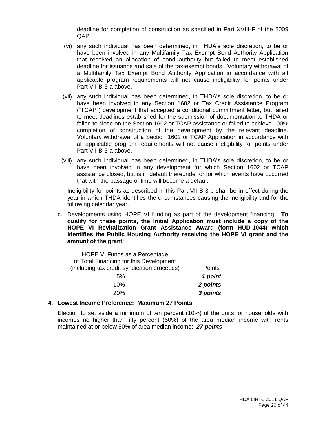deadline for completion of construction as specified in Part XVIII-F of the 2009 QAP.

- (vi) any such individual has been determined, in THDA's sole discretion, to be or have been involved in any Multifamily Tax Exempt Bond Authority Application that received an allocation of bond authority but failed to meet established deadline for issuance and sale of the tax-exempt bonds. Voluntary withdrawal of a Multifamily Tax Exempt Bond Authority Application in accordance with all applicable program requirements will not cause ineligibility for points under Part VII-B-3-a above.
- (vii) any such individual has been determined, in THDA's sole discretion, to be or have been involved in any Section 1602 or Tax Credit Assistance Program ("TCAP") development that accepted a conditional commitment letter, but failed to meet deadlines established for the submission of documentation to THDA or failed to close on the Section 1602 or TCAP assistance or failed to achieve 100% completion of construction of the development by the relevant deadline. Voluntary withdrawal of a Section 1602 or TCAP Application in accordance with all applicable program requirements will not cause ineligibility for points under Part VII-B-3-a above.
- (viii) any such individual has been determined, in THDA's sole discretion, to be or have been involved in any development for which Section 1602 or TCAP assistance closed, but is in default thereunder or for which events have occurred that with the passage of time will become a default.

Ineligibility for points as described in this Part VII-B-3-b shall be in effect during the year in which THDA identifies the circumstances causing the ineligibility and for the following calendar year.

c. Developments using HOPE VI funding as part of the development financing. **To qualify for these points, the Initial Application must include a copy of the HOPE VI Revitalization Grant Assistance Award (form HUD-1044) which identifies the Public Housing Authority receiving the HOPE VI grant and the amount of the grant**:

|          | HOPE VI Funds as a Percentage               |
|----------|---------------------------------------------|
|          | of Total Financing for this Development     |
| Points   | (including tax credit syndication proceeds) |
| 1 point  | 5%                                          |
| 2 points | 10%                                         |
| 3 points | 20%                                         |

#### **4. Lowest Income Preference: Maximum 27 Points**

Election to set aside a minimum of ten percent (10%) of the units for households with incomes no higher than fifty percent (50%) of the area median income with rents maintained at or below 50% of area median income: *27 points*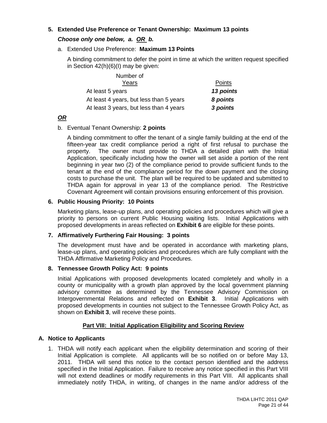# **5. Extended Use Preference or Tenant Ownership: Maximum 13 points**

# *Choose only one below, a. OR b.*

# a. Extended Use Preference: **Maximum 13 Points**

A binding commitment to defer the point in time at which the written request specified in Section 42(h)(6)(I) may be given:

| Number of                               |           |  |
|-----------------------------------------|-----------|--|
| Years                                   | Points    |  |
| At least 5 years                        | 13 points |  |
| At least 4 years, but less than 5 years | 8 points  |  |
| At least 3 years, but less than 4 years | 3 points  |  |

# *OR*

# b. Eventual Tenant Ownership: **2 points**

A binding commitment to offer the tenant of a single family building at the end of the fifteen-year tax credit compliance period a right of first refusal to purchase the property. The owner must provide to THDA a detailed plan with the Initial Application, specifically including how the owner will set aside a portion of the rent beginning in year two (2) of the compliance period to provide sufficient funds to the tenant at the end of the compliance period for the down payment and the closing costs to purchase the unit. The plan will be required to be updated and submitted to THDA again for approval in year 13 of the compliance period. The Restrictive Covenant Agreement will contain provisions ensuring enforcement of this provision.

# **6. Public Housing Priority: 10 Points**

Marketing plans, lease-up plans, and operating policies and procedures which will give a priority to persons on current Public Housing waiting lists. Initial Applications with proposed developments in areas reflected on **Exhibit 6** are eligible for these points.

# **7. Affirmatively Furthering Fair Housing: 3 points**

The development must have and be operated in accordance with marketing plans, lease-up plans, and operating policies and procedures which are fully compliant with the THDA Affirmative Marketing Policy and Procedures.

# **8. Tennessee Growth Policy Act: 9 points**

Initial Applications with proposed developments located completely and wholly in a county or municipality with a growth plan approved by the local government planning advisory committee as determined by the Tennessee Advisory Commission on Intergovernmental Relations and reflected on **Exhibit 3**. Initial Applications with proposed developments in counties not subject to the Tennessee Growth Policy Act, as shown on **Exhibit 3**, will receive these points.

# **Part VIII: Initial Application Eligibility and Scoring Review**

# **A. Notice to Applicants**

1. THDA will notify each applicant when the eligibility determination and scoring of their Initial Application is complete. All applicants will be so notified on or before May 13, 2011. THDA will send this notice to the contact person identified and the address specified in the Initial Application. Failure to receive any notice specified in this Part VIII will not extend deadlines or modify requirements in this Part VIII. All applicants shall immediately notify THDA, in writing, of changes in the name and/or address of the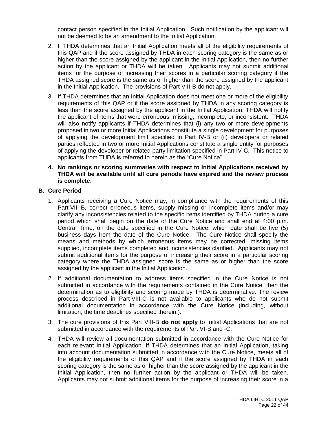contact person specified in the Initial Application. Such notification by the applicant will not be deemed to be an amendment to the Initial Application.

- 2. If THDA determines that an Initial Application meets all of the eligibility requirements of this QAP and if the score assigned by THDA in each scoring category is the same as or higher than the score assigned by the applicant in the Initial Application, then no further action by the applicant or THDA will be taken. Applicants may not submit additional items for the purpose of increasing their scores in a particular scoring category if the THDA assigned score is the same as or higher than the score assigned by the applicant in the Initial Application. The provisions of Part VIII-B do not apply.
- 3. If THDA determines that an Initial Application does not meet one or more of the eligibility requirements of this QAP or if the score assigned by THDA in any scoring category is less than the score assigned by the applicant in the Initial Application, THDA will notify the applicant of items that were erroneous, missing, incomplete, or inconsistent. THDA will also notify applicants if THDA determines that (i) any two or more developments proposed in two or more Initial Applications constitute a single development for purposes of applying the development limit specified in Part IV-B or (ii) developers or related parties reflected in two or more Initial Applications constitute a single entity for purposes of applying the developer or related party limitation specified in Part IV-C. This notice to applicants from THDA is referred to herein as the "Cure Notice".
- **4. No rankings or scoring summaries with respect to Initial Applications received by THDA will be available until all cure periods have expired and the review process is complete**.

#### **B. Cure Period**

- 1. Applicants receiving a Cure Notice may, in compliance with the requirements of this Part VIII-B, correct erroneous items, supply missing or incomplete items and/or may clarify any inconsistencies related to the specific items identified by THDA during a cure period which shall begin on the date of the Cure Notice and shall end at 4:00 p.m. Central Time, on the date specified in the Cure Notice, which date shall be five (5) business days from the date of the Cure Notice. The Cure Notice shall specify the means and methods by which erroneous items may be corrected, missing items supplied, incomplete items completed and inconsistencies clarified. Applicants may not submit additional items for the purpose of increasing their score in a particular scoring category where the THDA assigned score is the same as or higher than the score assigned by the applicant in the Initial Application.
- 2. If additional documentation to address items specified in the Cure Notice is not submitted in accordance with the requirements contained in the Cure Notice, then the determination as to eligibility and scoring made by THDA is determinative. The review process described in Part VIII-C is not available to applicants who do not submit additional documentation in accordance with the Cure Notice (including, without limitation, the time deadlines specified therein.).
- 3. The cure provisions of this Part VIII-B **do not apply** to Initial Applications that are not submitted in accordance with the requirements of Part VI-B and -C.
- 4. THDA will review all documentation submitted in accordance with the Cure Notice for each relevant Initial Application. If THDA determines that an Initial Application, taking into account documentation submitted in accordance with the Cure Notice, meets all of the eligibility requirements of this QAP and if the score assigned by THDA in each scoring category is the same as or higher than the score assigned by the applicant in the Initial Application, then no further action by the applicant or THDA will be taken. Applicants may not submit additional items for the purpose of increasing their score in a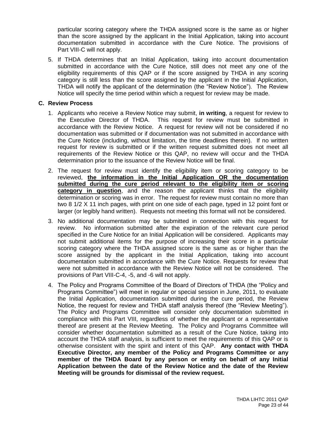particular scoring category where the THDA assigned score is the same as or higher than the score assigned by the applicant in the Initial Application, taking into account documentation submitted in accordance with the Cure Notice. The provisions of Part VIII-C will not apply.

5. If THDA determines that an Initial Application, taking into account documentation submitted in accordance with the Cure Notice, still does not meet any one of the eligibility requirements of this QAP or if the score assigned by THDA in any scoring category is still less than the score assigned by the applicant in the Initial Application, THDA will notify the applicant of the determination (the "Review Notice"). The Review Notice will specify the time period within which a request for review may be made.

#### **C. Review Process**

- 1. Applicants who receive a Review Notice may submit, **in writing**, a request for review to the Executive Director of THDA. This request for review must be submitted in accordance with the Review Notice. A request for review will not be considered if no documentation was submitted or if documentation was not submitted in accordance with the Cure Notice (including, without limitation, the time deadlines therein). If no written request for review is submitted or if the written request submitted does not meet all requirements of the Review Notice or this QAP, no review will occur and the THDA determination prior to the issuance of the Review Notice will be final.
- 2. The request for review must identify the eligibility item or scoring category to be reviewed, **the information in the Initial Application OR the documentation submitted during the cure period relevant to the eligibility item or scoring category in question**, and the reason the applicant thinks that the eligibility determination or scoring was in error. The request for review must contain no more than two 8 1/2 X 11 inch pages, with print on one side of each page, typed in 12 point font or larger (or legibly hand written). Requests not meeting this format will not be considered.
- 3. No additional documentation may be submitted in connection with this request for review. No information submitted after the expiration of the relevant cure period specified in the Cure Notice for an Initial Application will be considered. Applicants may not submit additional items for the purpose of increasing their score in a particular scoring category where the THDA assigned score is the same as or higher than the score assigned by the applicant in the Initial Application, taking into account documentation submitted in accordance with the Cure Notice. Requests for review that were not submitted in accordance with the Review Notice will not be considered. The provisions of Part VIII-C-4, -5, and -6 will not apply.
- 4. The Policy and Programs Committee of the Board of Directors of THDA (the "Policy and Programs Committee") will meet in regular or special session in June, 2011, to evaluate the Initial Application, documentation submitted during the cure period, the Review Notice, the request for review and THDA staff analysis thereof (the "Review Meeting"). The Policy and Programs Committee will consider only documentation submitted in compliance with this Part VIII, regardless of whether the applicant or a representative thereof are present at the Review Meeting. The Policy and Programs Committee will consider whether documentation submitted as a result of the Cure Notice, taking into account the THDA staff analysis, is sufficient to meet the requirements of this QAP or is otherwise consistent with the spirit and intent of this QAP. **Any contact with THDA Executive Director, any member of the Policy and Programs Committee or any member of the THDA Board by any person or entity on behalf of any Initial Application between the date of the Review Notice and the date of the Review Meeting will be grounds for dismissal of the review request.**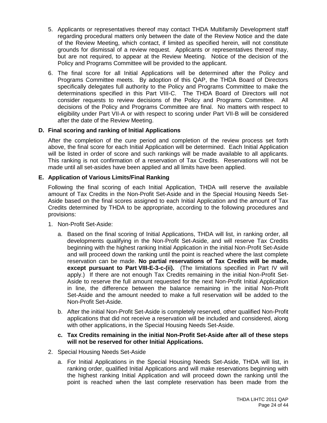- 5. Applicants or representatives thereof may contact THDA Multifamily Development staff regarding procedural matters only between the date of the Review Notice and the date of the Review Meeting, which contact, if limited as specified herein, will not constitute grounds for dismissal of a review request. Applicants or representatives thereof may, but are not required, to appear at the Review Meeting. Notice of the decision of the Policy and Programs Committee will be provided to the applicant.
- 6. The final score for all Initial Applications will be determined after the Policy and Programs Committee meets. By adoption of this QAP, the THDA Board of Directors specifically delegates full authority to the Policy and Programs Committee to make the determinations specified in this Part VIII-C. The THDA Board of Directors will not consider requests to review decisions of the Policy and Programs Committee. All decisions of the Policy and Programs Committee are final. No matters with respect to eligibility under Part VII-A or with respect to scoring under Part VII-B will be considered after the date of the Review Meeting.

# **D. Final scoring and ranking of Initial Applications**

After the completion of the cure period and completion of the review process set forth above, the final score for each Initial Application will be determined. Each Initial Application will be listed in order of score and such rankings will be made available to all applicants. This ranking is not confirmation of a reservation of Tax Credits. Reservations will not be made until all set-asides have been applied and all limits have been applied.

# **E. Application of Various Limits/Final Ranking**

Following the final scoring of each Initial Application, THDA will reserve the available amount of Tax Credits in the Non-Profit Set-Aside and in the Special Housing Needs Set-Aside based on the final scores assigned to each Initial Application and the amount of Tax Credits determined by THDA to be appropriate, according to the following procedures and provisions:

- 1. Non-Profit Set-Aside:
	- a. Based on the final scoring of Initial Applications, THDA will list, in ranking order, all developments qualifying in the Non-Profit Set-Aside, and will reserve Tax Credits beginning with the highest ranking Initial Application in the initial Non-Profit Set-Aside and will proceed down the ranking until the point is reached where the last complete reservation can be made. **No partial reservations of Tax Credits will be made, except pursuant to Part VIII-E-3-c-(ii).** (The limitations specified in Part IV will apply.) If there are not enough Tax Credits remaining in the initial Non-Profit Set-Aside to reserve the full amount requested for the next Non-Profit Initial Application in line, the difference between the balance remaining in the initial Non-Profit Set-Aside and the amount needed to make a full reservation will be added to the Non-Profit Set-Aside.
	- b. After the initial Non-Profit Set-Aside is completely reserved, other qualified Non-Profit applications that did not receive a reservation will be included and considered, along with other applications, in the Special Housing Needs Set-Aside.
	- **c. Tax Credits remaining in the initial Non-Profit Set-Aside after all of these steps will not be reserved for other Initial Applications.**
- 2. Special Housing Needs Set-Aside
	- a. For Initial Applications in the Special Housing Needs Set-Aside, THDA will list, in ranking order, qualified Initial Applications and will make reservations beginning with the highest ranking Initial Application and will proceed down the ranking until the point is reached when the last complete reservation has been made from the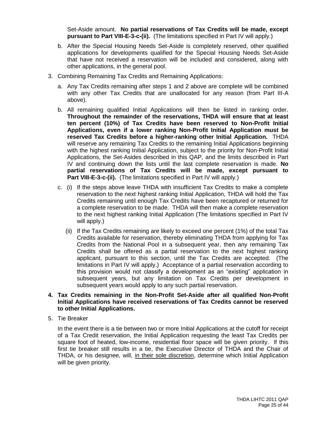Set-Aside amount. **No partial reservations of Tax Credits will be made, except pursuant to Part VIII-E-3-c-(ii).** (The limitations specified in Part IV will apply.)

- b. After the Special Housing Needs Set-Aside is completely reserved, other qualified applications for developments qualified for the Special Housing Needs Set-Aside that have not received a reservation will be included and considered, along with other applications, in the general pool.
- 3. Combining Remaining Tax Credits and Remaining Applications:
	- a. Any Tax Credits remaining after steps 1 and 2 above are complete will be combined with any other Tax Credits that are unallocated for any reason (from Part III-A above).
	- b. All remaining qualified Initial Applications will then be listed in ranking order. **Throughout the remainder of the reservations, THDA will ensure that at least ten percent (10%) of Tax Credits have been reserved to Non-Profit Initial Applications, even if a lower ranking Non-Profit Initial Application must be reserved Tax Credits before a higher-ranking other Initial Application.** THDA will reserve any remaining Tax Credits to the remaining Initial Applications beginning with the highest ranking Initial Application, subject to the priority for Non-Profit Initial Applications, the Set-Asides described in this QAP, and the limits described in Part IV and continuing down the lists until the last complete reservation is made. **No partial reservations of Tax Credits will be made, except pursuant to Part VIII-E-3-c-(ii).** (The limitations specified in Part IV will apply.)
	- c. (i) If the steps above leave THDA with insufficient Tax Credits to make a complete reservation to the next highest ranking Initial Application, THDA will hold the Tax Credits remaining until enough Tax Credits have been recaptured or returned for a complete reservation to be made. THDA will then make a complete reservation to the next highest ranking Initial Application (The limitations specified in Part IV will apply.)
		- (ii) If the Tax Credits remaining are likely to exceed one percent (1%) of the total Tax Credits available for reservation, thereby eliminating THDA from applying for Tax Credits from the National Pool in a subsequent year, then any remaining Tax Credits shall be offered as a partial reservation to the next highest ranking applicant, pursuant to this section, until the Tax Credits are accepted. (The limitations in Part IV will apply.) Acceptance of a partial reservation according to this provision would not classify a development as an "existing" application in subsequent years, but any limitation on Tax Credits per development in subsequent years would apply to any such partial reservation.

#### **4. Tax Credits remaining in the Non-Profit Set-Aside after all qualified Non-Profit Initial Applications have received reservations of Tax Credits cannot be reserved to other Initial Applications.**

5. Tie Breaker

In the event there is a tie between two or more Initial Applications at the cutoff for receipt of a Tax Credit reservation, the Initial Application requesting the least Tax Credits per square foot of heated, low-income, residential floor space will be given priority. If this first tie breaker still results in a tie, the Executive Director of THDA and the Chair of THDA, or his designee, will, in their sole discretion, determine which Initial Application will be given priority.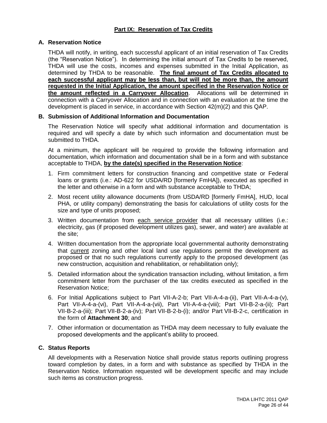# **A. Reservation Notice**

THDA will notify, in writing, each successful applicant of an initial reservation of Tax Credits (the "Reservation Notice"). In determining the initial amount of Tax Credits to be reserved, THDA will use the costs, incomes and expenses submitted in the Initial Application, as determined by THDA to be reasonable. **The final amount of Tax Credits allocated to each successful applicant may be less than, but will not be more than, the amount requested in the Initial Application, the amount specified in the Reservation Notice or the amount reflected in a Carryover Allocation**. Allocations will be determined in connection with a Carryover Allocation and in connection with an evaluation at the time the development is placed in service, in accordance with Section 42(m)(2) and this QAP.

# **B. Submission of Additional Information and Documentation**

The Reservation Notice will specify what additional information and documentation is required and will specify a date by which such information and documentation must be submitted to THDA.

At a minimum, the applicant will be required to provide the following information and documentation, which information and documentation shall be in a form and with substance acceptable to THDA, **by the date(s) specified in the Reservation Notice**:

- 1. Firm commitment letters for construction financing and competitive state or Federal loans or grants (i.e.: AD-622 for USDA/RD [formerly FmHA]), executed as specified in the letter and otherwise in a form and with substance acceptable to THDA;
- 2. Most recent utility allowance documents (from USDA/RD [formerly FmHA], HUD, local PHA, or utility company) demonstrating the basis for calculations of utility costs for the size and type of units proposed;
- 3. Written documentation from each service provider that all necessary utilities (i.e.: electricity, gas (if proposed development utilizes gas), sewer, and water) are available at the site;
- 4. Written documentation from the appropriate local governmental authority demonstrating that current zoning and other local land use regulations permit the development as proposed or that no such regulations currently apply to the proposed development (as new construction, acquisition and rehabilitation, or rehabilitation only);
- 5. Detailed information about the syndication transaction including, without limitation, a firm commitment letter from the purchaser of the tax credits executed as specified in the Reservation Notice;
- 6. For Initial Applications subject to Part VII-A-2-b; Part VII-A-4-a-(ii), Part VII-A-4-a-(v), Part VII-A-4-a-(vi), Part VII-A-4-a-(vii), Part VII-A-4-a-(viii); Part VII-B-2-a-(ii); Part VII-B-2-a-(iii); Part VII-B-2-a-(iv); Part VII-B-2-b-(i); and/or Part VII-B-2-c, certification in the form of **Attachment 30**; and
- 7. Other information or documentation as THDA may deem necessary to fully evaluate the proposed developments and the applicant's ability to proceed.

# **C. Status Reports**

All developments with a Reservation Notice shall provide status reports outlining progress toward completion by dates, in a form and with substance as specified by THDA in the Reservation Notice. Information requested will be development specific and may include such items as construction progress.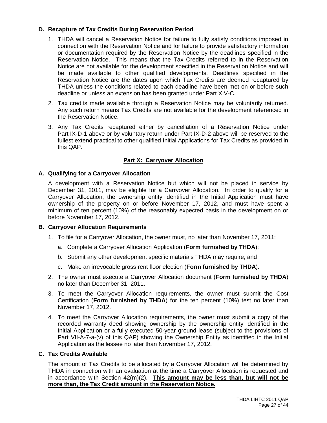# **D. Recapture of Tax Credits During Reservation Period**

- 1. THDA will cancel a Reservation Notice for failure to fully satisfy conditions imposed in connection with the Reservation Notice and for failure to provide satisfactory information or documentation required by the Reservation Notice by the deadlines specified in the Reservation Notice. This means that the Tax Credits referred to in the Reservation Notice are not available for the development specified in the Reservation Notice and will be made available to other qualified developments. Deadlines specified in the Reservation Notice are the dates upon which Tax Credits are deemed recaptured by THDA unless the conditions related to each deadline have been met on or before such deadline or unless an extension has been granted under Part XIV-C.
- 2. Tax credits made available through a Reservation Notice may be voluntarily returned. Any such return means Tax Credits are not available for the development referenced in the Reservation Notice.
- 3. Any Tax Credits recaptured either by cancellation of a Reservation Notice under Part IX-D-1 above or by voluntary return under Part IX-D-2 above will be reserved to the fullest extend practical to other qualified Initial Applications for Tax Credits as provided in this QAP.

# **Part X: Carryover Allocation**

# **A. Qualifying for a Carryover Allocation**

A development with a Reservation Notice but which will not be placed in service by December 31, 2011, may be eligible for a Carryover Allocation. In order to qualify for a Carryover Allocation, the ownership entity identified in the Initial Application must have ownership of the property on or before November 17, 2012, and must have spent a minimum of ten percent (10%) of the reasonably expected basis in the development on or before November 17, 2012.

#### **B. Carryover Allocation Requirements**

- 1. To file for a Carryover Allocation, the owner must, no later than November 17, 2011:
	- a. Complete a Carryover Allocation Application (**Form furnished by THDA**);
	- b. Submit any other development specific materials THDA may require; and
	- c. Make an irrevocable gross rent floor election (**Form furnished by THDA**).
- 2. The owner must execute a Carryover Allocation document (**Form furnished by THDA**) no later than December 31, 2011.
- 3. To meet the Carryover Allocation requirements, the owner must submit the Cost Certification (**Form furnished by THDA**) for the ten percent (10%) test no later than November 17, 2012.
- 4. To meet the Carryover Allocation requirements, the owner must submit a copy of the recorded warranty deed showing ownership by the ownership entity identified in the Initial Application or a fully executed 50-year ground lease (subject to the provisions of Part VII-A-7-a-(v) of this QAP) showing the Ownership Entity as identified in the Initial Application as the lessee no later than November 17, 2012.

#### **C. Tax Credits Available**

The amount of Tax Credits to be allocated by a Carryover Allocation will be determined by THDA in connection with an evaluation at the time a Carryover Allocation is requested and in accordance with Section 42(m)(2). **This amount may be less than, but will not be more than, the Tax Credit amount in the Reservation Notice.**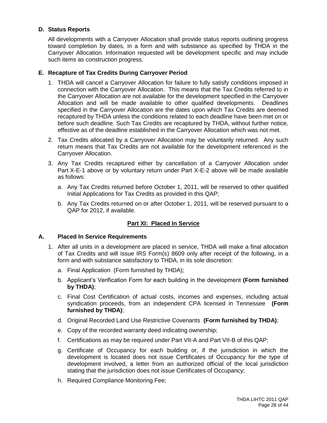# **D. Status Reports**

All developments with a Carryover Allocation shall provide status reports outlining progress toward completion by dates, in a form and with substance as specified by THDA in the Carryover Allocation. Information requested will be development specific and may include such items as construction progress.

# **E. Recapture of Tax Credits During Carryover Period**

- 1. THDA will cancel a Carryover Allocation for failure to fully satisfy conditions imposed in connection with the Carryover Allocation. This means that the Tax Credits referred to in the Carryover Allocation are not available for the development specified in the Carryover Allocation and will be made available to other qualified developments. Deadlines specified in the Carryover Allocation are the dates upon which Tax Credits are deemed recaptured by THDA unless the conditions related to each deadline have been met on or before such deadline. Such Tax Credits are recaptured by THDA, without further notice, effective as of the deadline established in the Carryover Allocation which was not met.
- 2. Tax Credits allocated by a Carryover Allocation may be voluntarily returned. Any such return means that Tax Credits are not available for the development referenced in the Carryover Allocation.
- 3. Any Tax Credits recaptured either by cancellation of a Carryover Allocation under Part X-E-1 above or by voluntary return under Part X-E-2 above will be made available as follows:
	- a. Any Tax Credits returned before October 1, 2011, will be reserved to other qualified Initial Applications for Tax Credits as provided in this QAP;
	- b. Any Tax Credits returned on or after October 1, 2011, will be reserved pursuant to a QAP for 2012, if available.

# **Part XI: Placed In Service**

# **A. Placed In Service Requirements**

- 1. After all units in a development are placed in service, THDA will make a final allocation of Tax Credits and will issue IRS Form(s) 8609 only after receipt of the following, in a form and with substance satisfactory to THDA, in its sole discretion:
	- a. Final Application (Form furnished by THDA);
	- b. Applicant's Verification Form for each building in the development **(Form furnished by THDA)**;
	- c. Final Cost Certification of actual costs, incomes and expenses, including actual syndication proceeds, from an independent CPA licensed in Tennessee **(Form furnished by THDA)**;
	- d. Original Recorded Land Use Restrictive Covenants **(Form furnished by THDA)**;
	- e. Copy of the recorded warranty deed indicating ownership;
	- f. Certifications as may be required under Part VII-A and Part VII-B of this QAP;
	- g. Certificate of Occupancy for each building or, if the jurisdiction in which the development is located does not issue Certificates of Occupancy for the type of development involved, a letter from an authorized official of the local jurisdiction stating that the jurisdiction does not issue Certificates of Occupancy;
	- h. Required Compliance Monitoring Fee;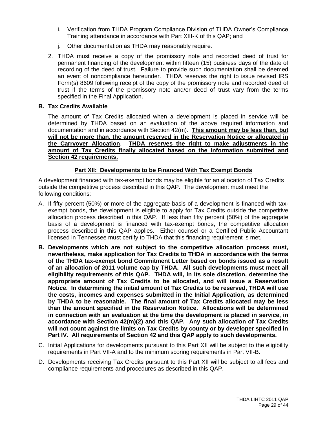- i. Verification from THDA Program Compliance Division of THDA Owner's Compliance Training attendance in accordance with Part XIII-K of this QAP; and
- j. Other documentation as THDA may reasonably require.
- 2. THDA must receive a copy of the promissory note and recorded deed of trust for permanent financing of the development within fifteen (15) business days of the date of recording of the deed of trust. Failure to provide such documentation shall be deemed an event of noncompliance hereunder. THDA reserves the right to issue revised IRS Form(s) 8609 following receipt of the copy of the promissory note and recorded deed of trust if the terms of the promissory note and/or deed of trust vary from the terms specified in the Final Application.

# **B. Tax Credits Available**

The amount of Tax Credits allocated when a development is placed in service will be determined by THDA based on an evaluation of the above required information and documentation and in accordance with Section 42(m). **This amount may be less than, but will not be more than, the amount reserved in the Reservation Notice or allocated in the Carryover Allocation**. **THDA reserves the right to make adjustments in the amount of Tax Credits finally allocated based on the information submitted and Section 42 requirements.**

# **Part XII: Developments to be Financed With Tax Exempt Bonds**

A development financed with tax-exempt bonds may be eligible for an allocation of Tax Credits outside the competitive process described in this QAP. The development must meet the following conditions:

- A. If fifty percent (50%) or more of the aggregate basis of a development is financed with taxexempt bonds, the development is eligible to apply for Tax Credits outside the competitive allocation process described in this QAP. If less than fifty percent (50%) of the aggregate basis of a development is financed with tax-exempt bonds, the competitive allocation process described in this QAP applies. Either counsel or a Certified Public Accountant licensed in Tennessee must certify to THDA that this financing requirement is met.
- **B. Developments which are not subject to the competitive allocation process must, nevertheless, make application for Tax Credits to THDA in accordance with the terms of the THDA tax-exempt bond Commitment Letter based on bonds issued as a result of an allocation of 2011 volume cap by THDA. All such developments must meet all eligibility requirements of this QAP. THDA will, in its sole discretion, determine the appropriate amount of Tax Credits to be allocated, and will issue a Reservation Notice. In determining the initial amount of Tax Credits to be reserved, THDA will use the costs, incomes and expenses submitted in the Initial Application, as determined by THDA to be reasonable. The final amount of Tax Credits allocated may be less than the amount specified in the Reservation Notice. Allocations will be determined in connection with an evaluation at the time the development is placed in service, in accordance with Section 42(m)(2) and this QAP. Any such allocation of Tax Credits will not count against the limits on Tax Credits by county or by developer specified in Part IV. All requirements of Section 42 and this QAP apply to such developments.**
- C. Initial Applications for developments pursuant to this Part XII will be subject to the eligibility requirements in Part VII-A and to the minimum scoring requirements in Part VII-B.
- D. Developments receiving Tax Credits pursuant to this Part XII will be subject to all fees and compliance requirements and procedures as described in this QAP.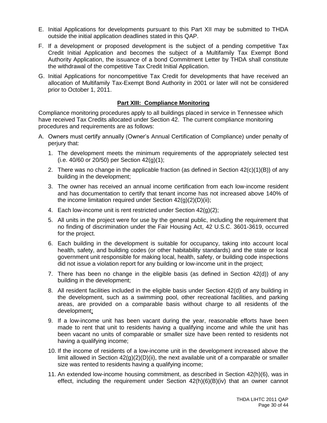- E. Initial Applications for developments pursuant to this Part XII may be submitted to THDA outside the initial application deadlines stated in this QAP.
- F. If a development or proposed development is the subject of a pending competitive Tax Credit Initial Application and becomes the subject of a Multifamily Tax Exempt Bond Authority Application, the issuance of a bond Commitment Letter by THDA shall constitute the withdrawal of the competitive Tax Credit Initial Application.
- G. Initial Applications for noncompetitive Tax Credit for developments that have received an allocation of Multifamily Tax-Exempt Bond Authority in 2001 or later will not be considered prior to October 1, 2011.

# **Part XIII: Compliance Monitoring**

Compliance monitoring procedures apply to all buildings placed in service in Tennessee which have received Tax Credits allocated under Section 42. The current compliance monitoring procedures and requirements are as follows:

- A. Owners must certify annually (Owner's Annual Certification of Compliance) under penalty of perjury that:
	- 1. The development meets the minimum requirements of the appropriately selected test (i.e. 40/60 or 20/50) per Section 42(g)(1);
	- 2. There was no change in the applicable fraction (as defined in Section 42(c)(1)(B)) of any building in the development;
	- 3. The owner has received an annual income certification from each low-income resident and has documentation to certify that tenant income has not increased above 140% of the income limitation required under Section 42(g)(2)(D)(ii);
	- 4. Each low-income unit is rent restricted under Section  $42(q)(2)$ ;
	- 5. All units in the project were for use by the general public, including the requirement that no finding of discrimination under the Fair Housing Act, 42 U.S.C. 3601-3619, occurred for the project.
	- 6. Each building in the development is suitable for occupancy, taking into account local health, safety, and building codes (or other habitability standards) and the state or local government unit responsible for making local, health, safety, or building code inspections did not issue a violation report for any building or low-income unit in the project;
	- 7. There has been no change in the eligible basis (as defined in Section 42(d)) of any building in the development;
	- 8. All resident facilities included in the eligible basis under Section 42(d) of any building in the development, such as a swimming pool, other recreational facilities, and parking areas, are provided on a comparable basis without charge to all residents of the development;
	- 9. If a low-income unit has been vacant during the year, reasonable efforts have been made to rent that unit to residents having a qualifying income and while the unit has been vacant no units of comparable or smaller size have been rented to residents not having a qualifying income;
	- 10. If the income of residents of a low-income unit in the development increased above the limit allowed in Section  $42(q)(2)(D)(ii)$ , the next available unit of a comparable or smaller size was rented to residents having a qualifying income;
	- 11. An extended low-income housing commitment, as described in Section 42(h)(6), was in effect, including the requirement under Section 42(h)(6)(B)(iv) that an owner cannot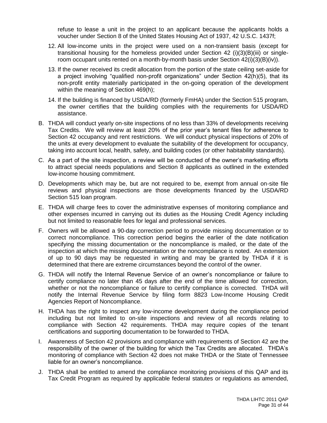refuse to lease a unit in the project to an applicant because the applicants holds a voucher under Section 8 of the United States Housing Act of 1937, 42 U.S.C. 1437f;

- 12. All low-income units in the project were used on a non-transient basis (except for transitional housing for the homeless provided under Section 42 (i)(3)(B)(iii) or singleroom occupant units rented on a month-by-month basis under Section 42(i)(3)(B)(iv)).
- 13. If the owner received its credit allocation from the portion of the state ceiling set-aside for a project involving "qualified non-profit organizations" under Section 42(h)(5), that its non-profit entity materially participated in the on-going operation of the development within the meaning of Section 469(h);
- 14. If the building is financed by USDA/RD (formerly FmHA) under the Section 515 program, the owner certifies that the building complies with the requirements for USDA/RD assistance.
- B. THDA will conduct yearly on-site inspections of no less than 33% of developments receiving Tax Credits. We will review at least 20% of the prior year's tenant files for adherence to Section 42 occupancy and rent restrictions. We will conduct physical inspections of 20% of the units at every development to evaluate the suitability of the development for occupancy, taking into account local, health, safety, and building codes (or other habitability standards).
- C. As a part of the site inspection, a review will be conducted of the owner's marketing efforts to attract special needs populations and Section 8 applicants as outlined in the extended low-income housing commitment.
- D. Developments which may be, but are not required to be, exempt from annual on-site file reviews and physical inspections are those developments financed by the USDA/RD Section 515 loan program.
- E. THDA will charge fees to cover the administrative expenses of monitoring compliance and other expenses incurred in carrying out its duties as the Housing Credit Agency including but not limited to reasonable fees for legal and professional services.
- F. Owners will be allowed a 90-day correction period to provide missing documentation or to correct noncompliance. This correction period begins the earlier of the date notification specifying the missing documentation or the noncompliance is mailed, or the date of the inspection at which the missing documentation or the noncompliance is noted. An extension of up to 90 days may be requested in writing and may be granted by THDA if it is determined that there are extreme circumstances beyond the control of the owner.
- G. THDA will notify the Internal Revenue Service of an owner's noncompliance or failure to certify compliance no later than 45 days after the end of the time allowed for correction, whether or not the noncompliance or failure to certify compliance is corrected. THDA will notify the Internal Revenue Service by filing form 8823 Low-Income Housing Credit Agencies Report of Noncompliance.
- H. THDA has the right to inspect any low-income development during the compliance period including but not limited to on-site inspections and review of all records relating to compliance with Section 42 requirements. THDA may require copies of the tenant certifications and supporting documentation to be forwarded to THDA.
- I. Awareness of Section 42 provisions and compliance with requirements of Section 42 are the responsibility of the owner of the building for which the Tax Credits are allocated. THDA's monitoring of compliance with Section 42 does not make THDA or the State of Tennessee liable for an owner's noncompliance.
- J. THDA shall be entitled to amend the compliance monitoring provisions of this QAP and its Tax Credit Program as required by applicable federal statutes or regulations as amended,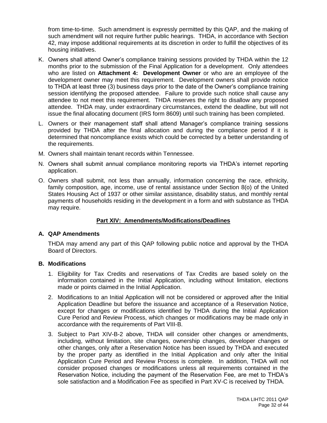from time-to-time. Such amendment is expressly permitted by this QAP, and the making of such amendment will not require further public hearings. THDA, in accordance with Section 42, may impose additional requirements at its discretion in order to fulfill the objectives of its housing initiatives.

- K. Owners shall attend Owner's compliance training sessions provided by THDA within the 12 months prior to the submission of the Final Application for a development. Only attendees who are listed on **Attachment 4: Development Owner** or who are an employee of the development owner may meet this requirement. Development owners shall provide notice to THDA at least three (3) business days prior to the date of the Owner's compliance training session identifying the proposed attendee. Failure to provide such notice shall cause any attendee to not meet this requirement. THDA reserves the right to disallow any proposed attendee. THDA may, under extraordinary circumstances, extend the deadline, but will not issue the final allocating document (IRS form 8609) until such training has been completed.
- L. Owners or their management staff shall attend Manager's compliance training sessions provided by THDA after the final allocation and during the compliance period if it is determined that noncompliance exists which could be corrected by a better understanding of the requirements.
- M. Owners shall maintain tenant records within Tennessee.
- N. Owners shall submit annual compliance monitoring reports via THDA's internet reporting application.
- O. Owners shall submit, not less than annually, information concerning the race, ethnicity, family composition, age, income, use of rental assistance under Section 8(o) of the United States Housing Act of 1937 or other similar assistance, disability status, and monthly rental payments of households residing in the development in a form and with substance as THDA may require.

# **Part XIV: Amendments/Modifications/Deadlines**

# **A. QAP Amendments**

THDA may amend any part of this QAP following public notice and approval by the THDA Board of Directors.

# **B. Modifications**

- 1. Eligibility for Tax Credits and reservations of Tax Credits are based solely on the information contained in the Initial Application, including without limitation, elections made or points claimed in the Initial Application.
- 2. Modifications to an Initial Application will not be considered or approved after the Initial Application Deadline but before the issuance and acceptance of a Reservation Notice, except for changes or modifications identified by THDA during the Initial Application Cure Period and Review Process, which changes or modifications may be made only in accordance with the requirements of Part VIII-B.
- 3. Subject to Part XIV-B-2 above, THDA will consider other changes or amendments, including, without limitation, site changes, ownership changes, developer changes or other changes, only after a Reservation Notice has been issued by THDA and executed by the proper party as identified in the Initial Application and only after the Initial Application Cure Period and Review Process is complete. In addition, THDA will not consider proposed changes or modifications unless all requirements contained in the Reservation Notice, including the payment of the Reservation Fee, are met to THDA's sole satisfaction and a Modification Fee as specified in Part XV-C is received by THDA.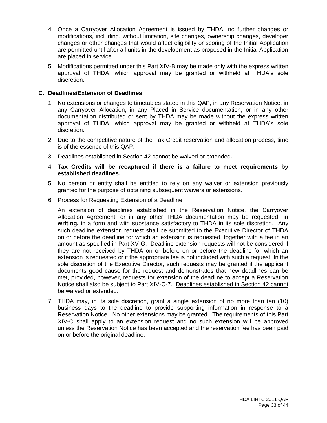- 4. Once a Carryover Allocation Agreement is issued by THDA, no further changes or modifications, including, without limitation, site changes, ownership changes, developer changes or other changes that would affect eligibility or scoring of the Initial Application are permitted until after all units in the development as proposed in the Initial Application are placed in service.
- 5. Modifications permitted under this Part XIV-B may be made only with the express written approval of THDA, which approval may be granted or withheld at THDA's sole discretion.

# **C. Deadlines/Extension of Deadlines**

- 1. No extensions or changes to timetables stated in this QAP, in any Reservation Notice, in any Carryover Allocation, in any Placed in Service documentation, or in any other documentation distributed or sent by THDA may be made without the express written approval of THDA, which approval may be granted or withheld at THDA's sole discretion.
- 2. Due to the competitive nature of the Tax Credit reservation and allocation process, time is of the essence of this QAP.
- 3. Deadlines established in Section 42 cannot be waived or extended**.**
- 4. **Tax Credits will be recaptured if there is a failure to meet requirements by established deadlines.**
- 5. No person or entity shall be entitled to rely on any waiver or extension previously granted for the purpose of obtaining subsequent waivers or extensions.
- 6. Process for Requesting Extension of a Deadline

An extension of deadlines established in the Reservation Notice, the Carryover Allocation Agreement, or in any other THDA documentation may be requested, **in writing,** in a form and with substance satisfactory to THDA in its sole discretion. Any such deadline extension request shall be submitted to the Executive Director of THDA on or before the deadline for which an extension is requested, together with a fee in an amount as specified in Part XV-G. Deadline extension requests will not be considered if they are not received by THDA on or before on or before the deadline for which an extension is requested or if the appropriate fee is not included with such a request. In the sole discretion of the Executive Director, such requests may be granted if the applicant documents good cause for the request and demonstrates that new deadlines can be met, provided, however, requests for extension of the deadline to accept a Reservation Notice shall also be subject to Part XIV-C-7. Deadlines established in Section 42 cannot be waived or extended.

7. THDA may, in its sole discretion, grant a single extension of no more than ten (10) business days to the deadline to provide supporting information in response to a Reservation Notice. No other extensions may be granted. The requirements of this Part XIV-C shall apply to an extension request and no such extension will be approved unless the Reservation Notice has been accepted and the reservation fee has been paid on or before the original deadline.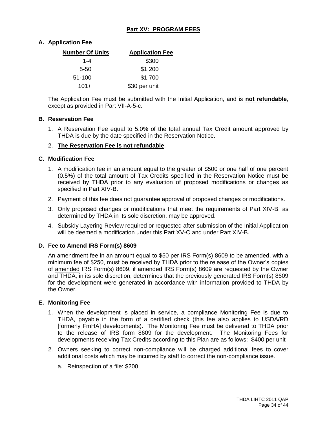# **Part XV: PROGRAM FEES**

# **A. Application Fee**

| <b>Number Of Units</b> | <b>Application Fee</b> |
|------------------------|------------------------|
| 1-4                    | \$300                  |
| $5 - 50$               | \$1,200                |
| 51-100                 | \$1,700                |
| $101+$                 | \$30 per unit          |

The Application Fee must be submitted with the Initial Application, and is **not refundable**, except as provided in Part VII-A-5-c.

#### **B. Reservation Fee**

1. A Reservation Fee equal to 5.0% of the total annual Tax Credit amount approved by THDA is due by the date specified in the Reservation Notice.

# 2. **The Reservation Fee is not refundable**.

#### **C. Modification Fee**

- 1. A modification fee in an amount equal to the greater of \$500 or one half of one percent (0.5%) of the total amount of Tax Credits specified in the Reservation Notice must be received by THDA prior to any evaluation of proposed modifications or changes as specified in Part XIV-B.
- 2. Payment of this fee does not guarantee approval of proposed changes or modifications.
- 3. Only proposed changes or modifications that meet the requirements of Part XIV-B, as determined by THDA in its sole discretion, may be approved.
- 4. Subsidy Layering Review required or requested after submission of the Initial Application will be deemed a modification under this Part XV-C and under Part XIV-B.

# **D. Fee to Amend IRS Form(s) 8609**

An amendment fee in an amount equal to \$50 per IRS Form(s) 8609 to be amended, with a minimum fee of \$250, must be received by THDA prior to the release of the Owner's copies of amended IRS Form(s) 8609, if amended IRS Form(s) 8609 are requested by the Owner and THDA, in its sole discretion, determines that the previously generated IRS Form(s) 8609 for the development were generated in accordance with information provided to THDA by the Owner.

# **E. Monitoring Fee**

- 1. When the development is placed in service, a compliance Monitoring Fee is due to THDA, payable in the form of a certified check (this fee also applies to USDA/RD [formerly FmHA] developments). The Monitoring Fee must be delivered to THDA prior to the release of IRS form 8609 for the development. The Monitoring Fees for developments receiving Tax Credits according to this Plan are as follows: \$400 per unit
- 2. Owners seeking to correct non-compliance will be charged additional fees to cover additional costs which may be incurred by staff to correct the non-compliance issue.
	- a. Reinspection of a file: \$200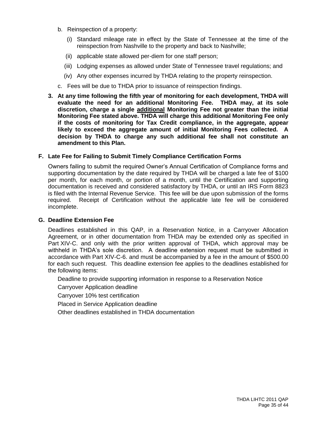- b. Reinspection of a property:
	- (i) Standard mileage rate in effect by the State of Tennessee at the time of the reinspection from Nashville to the property and back to Nashville;
	- (ii) applicable state allowed per-diem for one staff person;
	- (iii) Lodging expenses as allowed under State of Tennessee travel regulations; and
	- (iv) Any other expenses incurred by THDA relating to the property reinspection.
- c. Fees will be due to THDA prior to issuance of reinspection findings.
- **3. At any time following the fifth year of monitoring for each development, THDA will evaluate the need for an additional Monitoring Fee. THDA may, at its sole discretion, charge a single additional Monitoring Fee not greater than the initial Monitoring Fee stated above. THDA will charge this additional Monitoring Fee only if the costs of monitoring for Tax Credit compliance, in the aggregate, appear likely to exceed the aggregate amount of initial Monitoring Fees collected. A decision by THDA to charge any such additional fee shall not constitute an amendment to this Plan.**

# **F. Late Fee for Failing to Submit Timely Compliance Certification Forms**

Owners failing to submit the required Owner's Annual Certification of Compliance forms and supporting documentation by the date required by THDA will be charged a late fee of \$100 per month, for each month, or portion of a month, until the Certification and supporting documentation is received and considered satisfactory by THDA, or until an IRS Form 8823 is filed with the Internal Revenue Service. This fee will be due upon submission of the forms required. Receipt of Certification without the applicable late fee will be considered incomplete.

# **G. Deadline Extension Fee**

Deadlines established in this QAP, in a Reservation Notice, in a Carryover Allocation Agreement, or in other documentation from THDA may be extended only as specified in Part XIV-C. and only with the prior written approval of THDA, which approval may be withheld in THDA's sole discretion. A deadline extension request must be submitted in accordance with Part XIV-C-6. and must be accompanied by a fee in the amount of \$500.00 for each such request. This deadline extension fee applies to the deadlines established for the following items:

Deadline to provide supporting information in response to a Reservation Notice

Carryover Application deadline

Carryover 10% test certification

Placed in Service Application deadline

Other deadlines established in THDA documentation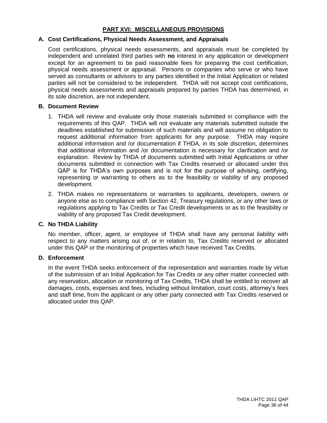# **PART XVI: MISCELLANEOUS PROVISIONS**

#### **A. Cost Certifications, Physical Needs Assessment, and Appraisals**

Cost certifications, physical needs assessments, and appraisals must be completed by independent and unrelated third parties with **no** interest in any application or development except for an agreement to be paid reasonable fees for preparing the cost certification, physical needs assessment or appraisal. Persons or companies who serve or who have served as consultants or advisors to any parties identified in the Initial Application or related parties will not be considered to be independent. THDA will not accept cost certifications, physical needs assessments and appraisals prepared by parties THDA has determined, in its sole discretion, are not independent.

#### **B. Document Review**

- 1. THDA will review and evaluate only those materials submitted in compliance with the requirements of this QAP. THDA will not evaluate any materials submitted outside the deadlines established for submission of such materials and will assume no obligation to request additional information from applicants for any purpose. THDA may require additional information and /or documentation if THDA, in its sole discretion, determines that additional information and /or documentation is necessary for clarification and /or explanation. Review by THDA of documents submitted with Initial Applications or other documents submitted in connection with Tax Credits reserved or allocated under this QAP is for THDA's own purposes and is not for the purpose of advising, certifying, representing or warranting to others as to the feasibility or viability of any proposed development.
- 2. THDA makes no representations or warranties to applicants, developers, owners or anyone else as to compliance with Section 42, Treasury regulations, or any other laws or regulations applying to Tax Credits or Tax Credit developments or as to the feasibility or viability of any proposed Tax Credit development.

# **C. No THDA Liability**

No member, officer, agent, or employee of THDA shall have any personal liability with respect to any matters arising out of, or in relation to, Tax Credits reserved or allocated under this QAP or the monitoring of properties which have received Tax Credits.

# **D. Enforcement**

In the event THDA seeks enforcement of the representation and warranties made by virtue of the submission of an Initial Application for Tax Credits or any other matter connected with any reservation, allocation or monitoring of Tax Credits, THDA shall be entitled to recover all damages, costs, expenses and fees, including without limitation, court costs, attorney's fees and staff time, from the applicant or any other party connected with Tax Credits reserved or allocated under this QAP.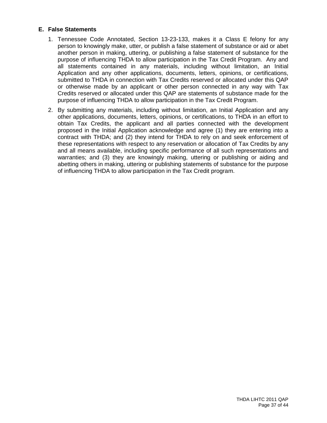# **E. False Statements**

- 1. Tennessee Code Annotated, Section 13-23-133, makes it a Class E felony for any person to knowingly make, utter, or publish a false statement of substance or aid or abet another person in making, uttering, or publishing a false statement of substance for the purpose of influencing THDA to allow participation in the Tax Credit Program. Any and all statements contained in any materials, including without limitation, an Initial Application and any other applications, documents, letters, opinions, or certifications, submitted to THDA in connection with Tax Credits reserved or allocated under this QAP or otherwise made by an applicant or other person connected in any way with Tax Credits reserved or allocated under this QAP are statements of substance made for the purpose of influencing THDA to allow participation in the Tax Credit Program.
- 2. By submitting any materials, including without limitation, an Initial Application and any other applications, documents, letters, opinions, or certifications, to THDA in an effort to obtain Tax Credits, the applicant and all parties connected with the development proposed in the Initial Application acknowledge and agree (1) they are entering into a contract with THDA; and (2) they intend for THDA to rely on and seek enforcement of these representations with respect to any reservation or allocation of Tax Credits by any and all means available, including specific performance of all such representations and warranties; and (3) they are knowingly making, uttering or publishing or aiding and abetting others in making, uttering or publishing statements of substance for the purpose of influencing THDA to allow participation in the Tax Credit program.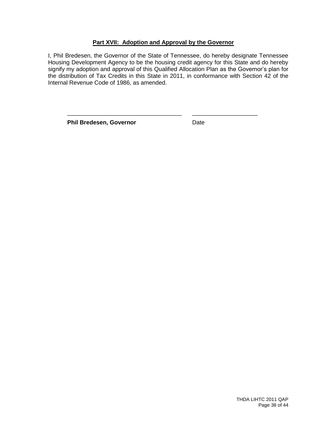# **Part XVII: Adoption and Approval by the Governor**

I, Phil Bredesen, the Governor of the State of Tennessee, do hereby designate Tennessee Housing Development Agency to be the housing credit agency for this State and do hereby signify my adoption and approval of this Qualified Allocation Plan as the Governor's plan for the distribution of Tax Credits in this State in 2011, in conformance with Section 42 of the Internal Revenue Code of 1986, as amended.

\_\_\_\_\_\_\_\_\_\_\_\_\_\_\_\_\_\_\_\_\_\_\_\_\_\_\_\_\_\_\_\_\_\_\_ \_\_\_\_\_\_\_\_\_\_\_\_\_\_\_\_\_\_\_\_

**Phil Bredesen, Governor Date**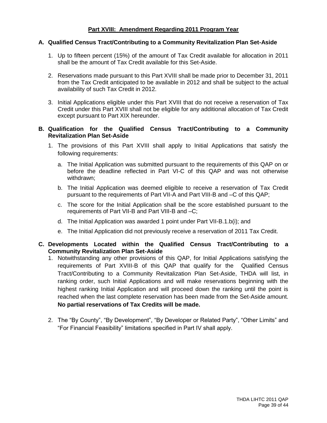# **Part XVIII: Amendment Regarding 2011 Program Year**

#### **A. Qualified Census Tract/Contributing to a Community Revitalization Plan Set-Aside**

- 1. Up to fifteen percent (15%) of the amount of Tax Credit available for allocation in 2011 shall be the amount of Tax Credit available for this Set-Aside.
- 2. Reservations made pursuant to this Part XVIII shall be made prior to December 31, 2011 from the Tax Credit anticipated to be available in 2012 and shall be subject to the actual availability of such Tax Credit in 2012.
- 3. Initial Applications eligible under this Part XVIII that do not receive a reservation of Tax Credit under this Part XVIII shall not be eligible for any additional allocation of Tax Credit except pursuant to Part XIX hereunder.

#### **B. Qualification for the Qualified Census Tract/Contributing to a Community Revitalization Plan Set-Aside**

- 1. The provisions of this Part XVIII shall apply to Initial Applications that satisfy the following requirements:
	- a. The Initial Application was submitted pursuant to the requirements of this QAP on or before the deadline reflected in Part VI-C of this QAP and was not otherwise withdrawn;
	- b. The Initial Application was deemed eligible to receive a reservation of Tax Credit pursuant to the requirements of Part VII-A and Part VIII-B and –C of this QAP;
	- c. The score for the Initial Application shall be the score established pursuant to the requirements of Part VII-B and Part VIII-B and –C;
	- d. The Initial Application was awarded 1 point under Part VII-B.1.b(i); and
	- e. The Initial Application did not previously receive a reservation of 2011 Tax Credit.

# **C. Developments Located within the Qualified Census Tract/Contributing to a Community Revitalization Plan Set-Aside**

- 1. Notwithstanding any other provisions of this QAP, for Initial Applications satisfying the requirements of Part XVIII-B of this QAP that qualify for the Qualified Census Tract/Contributing to a Community Revitalization Plan Set-Aside, THDA will list, in ranking order, such Initial Applications and will make reservations beginning with the highest ranking Initial Application and will proceed down the ranking until the point is reached when the last complete reservation has been made from the Set-Aside amount. **No partial reservations of Tax Credits will be made.**
- 2. The "By County", "By Development", "By Developer or Related Party", "Other Limits" and "For Financial Feasibility" limitations specified in Part IV shall apply.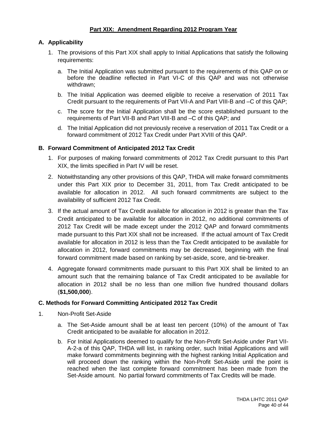# **Part XIX: Amendment Regarding 2012 Program Year**

# **A. Applicability**

- 1. The provisions of this Part XIX shall apply to Initial Applications that satisfy the following requirements:
	- a. The Initial Application was submitted pursuant to the requirements of this QAP on or before the deadline reflected in Part VI-C of this QAP and was not otherwise withdrawn;
	- b. The Initial Application was deemed eligible to receive a reservation of 2011 Tax Credit pursuant to the requirements of Part VII-A and Part VIII-B and –C of this QAP;
	- c. The score for the Initial Application shall be the score established pursuant to the requirements of Part VII-B and Part VIII-B and –C of this QAP; and
	- d. The Initial Application did not previously receive a reservation of 2011 Tax Credit or a forward commitment of 2012 Tax Credit under Part XVIII of this QAP.

# **B. Forward Commitment of Anticipated 2012 Tax Credit**

- 1. For purposes of making forward commitments of 2012 Tax Credit pursuant to this Part XIX, the limits specified in Part IV will be reset.
- 2. Notwithstanding any other provisions of this QAP, THDA will make forward commitments under this Part XIX prior to December 31, 2011, from Tax Credit anticipated to be available for allocation in 2012. All such forward commitments are subject to the availability of sufficient 2012 Tax Credit.
- 3. If the actual amount of Tax Credit available for allocation in 2012 is greater than the Tax Credit anticipated to be available for allocation in 2012, no additional commitments of 2012 Tax Credit will be made except under the 2012 QAP and forward commitments made pursuant to this Part XIX shall not be increased. If the actual amount of Tax Credit available for allocation in 2012 is less than the Tax Credit anticipated to be available for allocation in 2012, forward commitments may be decreased, beginning with the final forward commitment made based on ranking by set-aside, score, and tie-breaker.
- 4. Aggregate forward commitments made pursuant to this Part XIX shall be limited to an amount such that the remaining balance of Tax Credit anticipated to be available for allocation in 2012 shall be no less than one million five hundred thousand dollars (**\$1,500,000**).

# **C. Methods for Forward Committing Anticipated 2012 Tax Credit**

- 1. Non-Profit Set-Aside
	- a. The Set-Aside amount shall be at least ten percent (10%) of the amount of Tax Credit anticipated to be available for allocation in 2012.
	- b. For Initial Applications deemed to qualify for the Non-Profit Set-Aside under Part VII-A-2-a of this QAP, THDA will list, in ranking order, such Initial Applications and will make forward commitments beginning with the highest ranking Initial Application and will proceed down the ranking within the Non-Profit Set-Aside until the point is reached when the last complete forward commitment has been made from the Set-Aside amount. No partial forward commitments of Tax Credits will be made.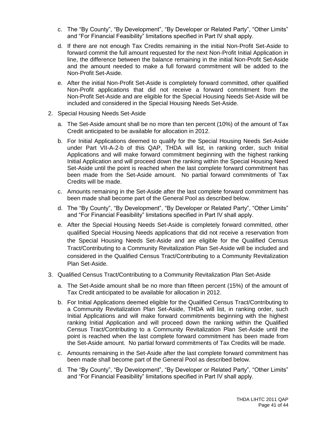- c. The "By County", "By Development", "By Developer or Related Party", "Other Limits" and "For Financial Feasibility" limitations specified in Part IV shall apply.
- d. If there are not enough Tax Credits remaining in the initial Non-Profit Set-Aside to forward commit the full amount requested for the next Non-Profit Initial Application in line, the difference between the balance remaining in the initial Non-Profit Set-Aside and the amount needed to make a full forward commitment will be added to the Non-Profit Set-Aside.
- e. After the initial Non-Profit Set-Aside is completely forward committed, other qualified Non-Profit applications that did not receive a forward commitment from the Non-Profit Set-Aside and are eligible for the Special Housing Needs Set-Aside will be included and considered in the Special Housing Needs Set-Aside.
- 2. Special Housing Needs Set-Aside
	- a. The Set-Aside amount shall be no more than ten percent (10%) of the amount of Tax Credit anticipated to be available for allocation in 2012.
	- b. For Initial Applications deemed to qualify for the Special Housing Needs Set-Aside under Part VII-A-2-b of this QAP, THDA will list, in ranking order, such Initial Applications and will make forward commitment beginning with the highest ranking Initial Application and will proceed down the ranking within the Special Housing Need Set-Aside until the point is reached when the last complete forward commitment has been made from the Set-Aside amount. No partial forward commitments of Tax Credits will be made.
	- c. Amounts remaining in the Set-Aside after the last complete forward commitment has been made shall become part of the General Pool as described below.
	- d. The "By County", "By Development", "By Developer or Related Party", "Other Limits" and "For Financial Feasibility" limitations specified in Part IV shall apply.
	- e. After the Special Housing Needs Set-Aside is completely forward committed, other qualified Special Housing Needs applications that did not receive a reservation from the Special Housing Needs Set-Aside and are eligible for the Qualified Census Tract/Contributing to a Community Revitalization Plan Set-Aside will be included and considered in the Qualified Census Tract/Contributing to a Community Revitalization Plan Set-Aside.
- 3. Qualified Census Tract/Contributing to a Community Revitalization Plan Set-Aside
	- a. The Set-Aside amount shall be no more than fifteen percent (15%) of the amount of Tax Credit anticipated to be available for allocation in 2012.
	- b. For Initial Applications deemed eligible for the Qualified Census Tract/Contributing to a Community Revitalization Plan Set-Aside, THDA will list, in ranking order, such Initial Applications and will make forward commitments beginning with the highest ranking Initial Application and will proceed down the ranking within the Qualified Census Tract/Contributing to a Community Revitalization Plan Set-Aside until the point is reached when the last complete forward commitment has been made from the Set-Aside amount. No partial forward commitments of Tax Credits will be made.
	- c. Amounts remaining in the Set-Aside after the last complete forward commitment has been made shall become part of the General Pool as described below.
	- d. The "By County", "By Development", "By Developer or Related Party", "Other Limits" and "For Financial Feasibility" limitations specified in Part IV shall apply.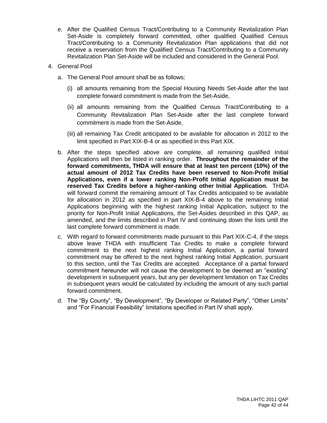- e. After the Qualified Census Tract/Contributing to a Community Revitalization Plan Set-Aside is completely forward committed, other qualified Qualified Census Tract/Contributing to a Community Revitalization Plan applications that did not receive a reservation from the Qualified Census Tract/Contributing to a Community Revitalization Plan Set-Aside will be included and considered in the General Pool.
- 4. General Pool
	- a. The General Pool amount shall be as follows:
		- (i) all amounts remaining from the Special Housing Needs Set-Aside after the last complete forward commitment is made from the Set-Aside,
		- (ii) all amounts remaining from the Qualified Census Tract/Contributing to a Community Revitalization Plan Set-Aside after the last complete forward commitment is made from the Set-Aside,
		- (iii) all remaining Tax Credit anticipated to be available for allocation in 2012 to the limit specified in Part XIX-B-4 or as specified in this Part XIX.
	- b. After the steps specified above are complete, all remaining qualified Initial Applications will then be listed in ranking order. **Throughout the remainder of the forward commitments, THDA will ensure that at least ten percent (10%) of the actual amount of 2012 Tax Credits have been reserved to Non-Profit Initial Applications, even if a lower ranking Non-Profit Initial Application must be reserved Tax Credits before a higher-ranking other Initial Application.** THDA will forward commit the remaining amount of Tax Credits anticipated to be available for allocation in 2012 as specified in part XIX-B-4 above to the remaining Initial Applications beginning with the highest ranking Initial Application, subject to the priority for Non-Profit Initial Applications, the Set-Asides described in this QAP, as amended, and the limits described in Part IV and continuing down the lists until the last complete forward commitment is made.
	- c. With regard to forward commitments made pursuant to this Part XIX-C-4, if the steps above leave THDA with insufficient Tax Credits to make a complete forward commitment to the next highest ranking Initial Application, a partial forward commitment may be offered to the next highest ranking Initial Application, pursuant to this section, until the Tax Credits are accepted. Acceptance of a partial forward commitment hereunder will not cause the development to be deemed an "existing" development in subsequent years, but any per development limitation on Tax Credits in subsequent years would be calculated by including the amount of any such partial forward commitment.
	- d. The "By County", "By Development", "By Developer or Related Party", "Other Limits" and "For Financial Feasibility" limitations specified in Part IV shall apply.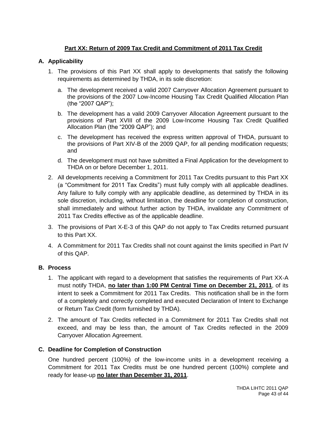# **Part XX: Return of 2009 Tax Credit and Commitment of 2011 Tax Credit**

# **A. Applicability**

- 1. The provisions of this Part XX shall apply to developments that satisfy the following requirements as determined by THDA, in its sole discretion:
	- a. The development received a valid 2007 Carryover Allocation Agreement pursuant to the provisions of the 2007 Low-Income Housing Tax Credit Qualified Allocation Plan (the "2007 QAP");
	- b. The development has a valid 2009 Carryover Allocation Agreement pursuant to the provisions of Part XVIII of the 2009 Low-Income Housing Tax Credit Qualified Allocation Plan (the "2009 QAP"); and
	- c. The development has received the express written approval of THDA, pursuant to the provisions of Part XIV-B of the 2009 QAP, for all pending modification requests; and
	- d. The development must not have submitted a Final Application for the development to THDA on or before December 1, 2011.
- 2. All developments receiving a Commitment for 2011 Tax Credits pursuant to this Part XX (a "Commitment for 2011 Tax Credits") must fully comply with all applicable deadlines. Any failure to fully comply with any applicable deadline, as determined by THDA in its sole discretion, including, without limitation, the deadline for completion of construction, shall immediately and without further action by THDA, invalidate any Commitment of 2011 Tax Credits effective as of the applicable deadline.
- 3. The provisions of Part X-E-3 of this QAP do not apply to Tax Credits returned pursuant to this Part XX.
- 4. A Commitment for 2011 Tax Credits shall not count against the limits specified in Part IV of this QAP.

# **B. Process**

- 1. The applicant with regard to a development that satisfies the requirements of Part XX-A must notify THDA, **no later than 1:00 PM Central Time on December 21, 2011**, of its intent to seek a Commitment for 2011 Tax Credits. This notification shall be in the form of a completely and correctly completed and executed Declaration of Intent to Exchange or Return Tax Credit (form furnished by THDA).
- 2. The amount of Tax Credits reflected in a Commitment for 2011 Tax Credits shall not exceed, and may be less than, the amount of Tax Credits reflected in the 2009 Carryover Allocation Agreement.

# **C. Deadline for Completion of Construction**

One hundred percent (100%) of the low-income units in a development receiving a Commitment for 2011 Tax Credits must be one hundred percent (100%) complete and ready for lease-up **no later than December 31, 2011**.